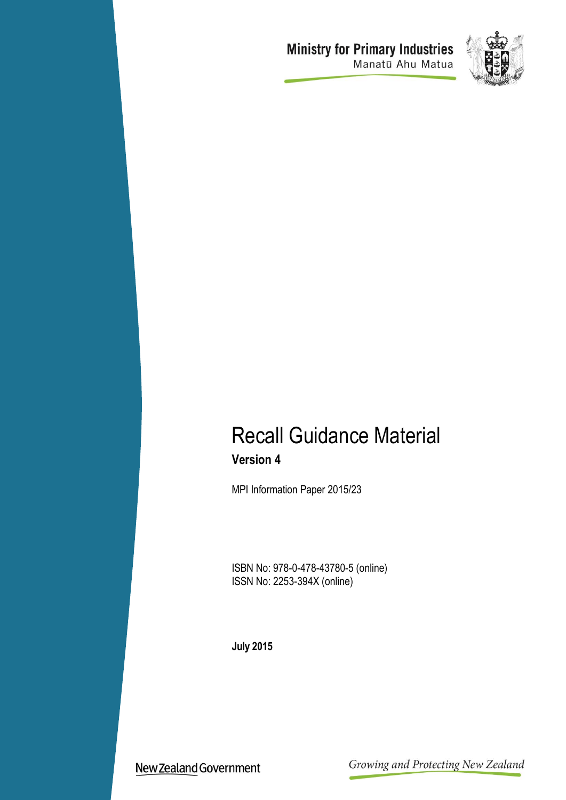# **Ministry for Primary Industries**<br>Manatū Ahu Matua



# Recall Guidance Material **Version 4**

MPI Information Paper 2015/23

ISBN No: 978-0-478-43780-5 (online) ISSN No: 2253-394X (online)

**July 2015**

New Zealand Government

Growing and Protecting New Zealand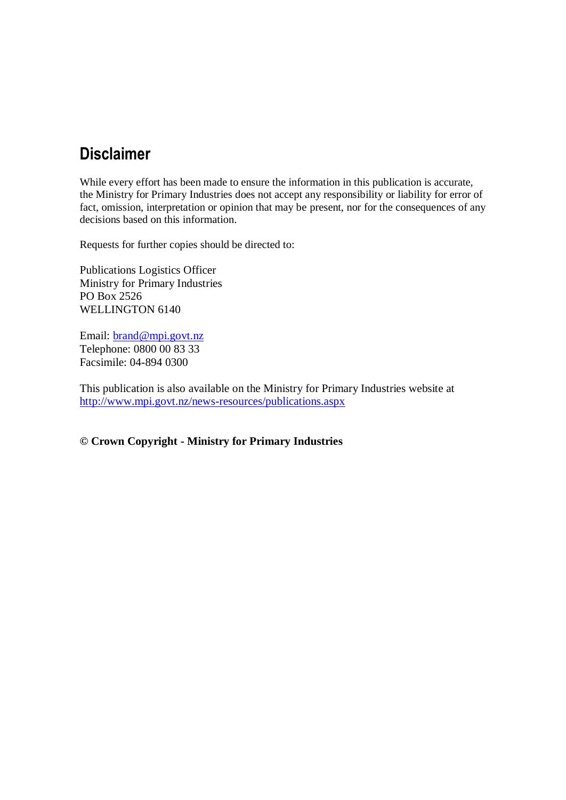# **Disclaimer**

While every effort has been made to ensure the information in this publication is accurate, the Ministry for Primary Industries does not accept any responsibility or liability for error of fact, omission, interpretation or opinion that may be present, nor for the consequences of any decisions based on this information.

Requests for further copies should be directed to:

Publications Logistics Officer Ministry for Primary Industries PO Box 2526 WELLINGTON 6140

Email: **brand@mpi.govt.nz** Telephone: 0800 00 83 33 Facsimile: 04-894 0300

This publication is also available on the Ministry for Primary Industries website at <http://www.mpi.govt.nz/news-resources/publications.aspx>

**© Crown Copyright - Ministry for Primary Industries**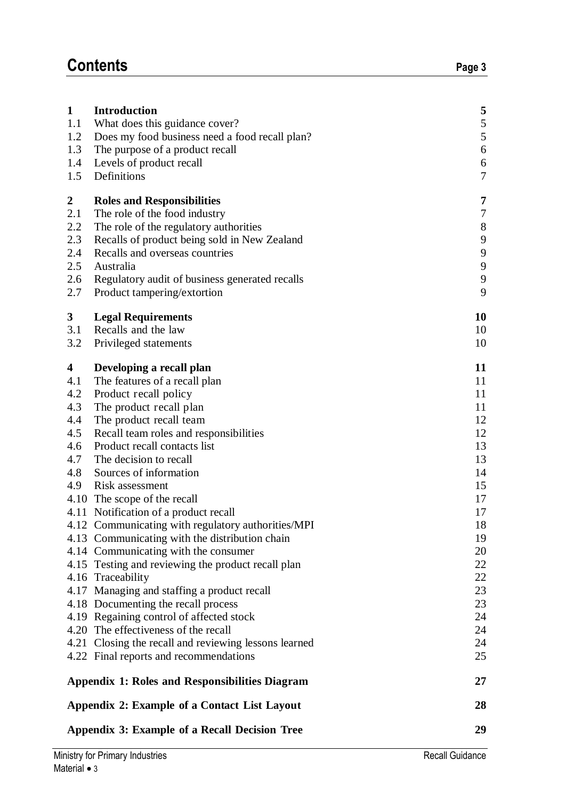| $\mathbf{1}$                                                                           | <b>Introduction</b>                                                                                                                                                                                                                                                                                                                                                                                                                                                                                                                                                                                                                                                                                                                                                                                                                                                        | 5                                                                                                                                            |  |
|----------------------------------------------------------------------------------------|----------------------------------------------------------------------------------------------------------------------------------------------------------------------------------------------------------------------------------------------------------------------------------------------------------------------------------------------------------------------------------------------------------------------------------------------------------------------------------------------------------------------------------------------------------------------------------------------------------------------------------------------------------------------------------------------------------------------------------------------------------------------------------------------------------------------------------------------------------------------------|----------------------------------------------------------------------------------------------------------------------------------------------|--|
| 1.1                                                                                    | What does this guidance cover?                                                                                                                                                                                                                                                                                                                                                                                                                                                                                                                                                                                                                                                                                                                                                                                                                                             | 5                                                                                                                                            |  |
| 1.2                                                                                    | Does my food business need a food recall plan?                                                                                                                                                                                                                                                                                                                                                                                                                                                                                                                                                                                                                                                                                                                                                                                                                             | 5                                                                                                                                            |  |
| 1.3                                                                                    | The purpose of a product recall                                                                                                                                                                                                                                                                                                                                                                                                                                                                                                                                                                                                                                                                                                                                                                                                                                            | $\boldsymbol{6}$                                                                                                                             |  |
| 1.4                                                                                    | Levels of product recall                                                                                                                                                                                                                                                                                                                                                                                                                                                                                                                                                                                                                                                                                                                                                                                                                                                   | 6                                                                                                                                            |  |
| 1.5                                                                                    | Definitions                                                                                                                                                                                                                                                                                                                                                                                                                                                                                                                                                                                                                                                                                                                                                                                                                                                                | $\boldsymbol{7}$                                                                                                                             |  |
| $\overline{2}$                                                                         | <b>Roles and Responsibilities</b>                                                                                                                                                                                                                                                                                                                                                                                                                                                                                                                                                                                                                                                                                                                                                                                                                                          | $\overline{7}$                                                                                                                               |  |
| 2.1                                                                                    | The role of the food industry                                                                                                                                                                                                                                                                                                                                                                                                                                                                                                                                                                                                                                                                                                                                                                                                                                              | $\boldsymbol{7}$                                                                                                                             |  |
| 2.2                                                                                    | The role of the regulatory authorities                                                                                                                                                                                                                                                                                                                                                                                                                                                                                                                                                                                                                                                                                                                                                                                                                                     | $8\,$                                                                                                                                        |  |
| 2.3                                                                                    | Recalls of product being sold in New Zealand                                                                                                                                                                                                                                                                                                                                                                                                                                                                                                                                                                                                                                                                                                                                                                                                                               | 9                                                                                                                                            |  |
| 2.4                                                                                    | Recalls and overseas countries                                                                                                                                                                                                                                                                                                                                                                                                                                                                                                                                                                                                                                                                                                                                                                                                                                             | 9                                                                                                                                            |  |
| 2.5                                                                                    | Australia                                                                                                                                                                                                                                                                                                                                                                                                                                                                                                                                                                                                                                                                                                                                                                                                                                                                  | 9                                                                                                                                            |  |
| 2.6                                                                                    | Regulatory audit of business generated recalls                                                                                                                                                                                                                                                                                                                                                                                                                                                                                                                                                                                                                                                                                                                                                                                                                             | $\mathbf{9}$                                                                                                                                 |  |
| 2.7                                                                                    | Product tampering/extortion                                                                                                                                                                                                                                                                                                                                                                                                                                                                                                                                                                                                                                                                                                                                                                                                                                                | 9                                                                                                                                            |  |
| $3^{\circ}$                                                                            | <b>Legal Requirements</b>                                                                                                                                                                                                                                                                                                                                                                                                                                                                                                                                                                                                                                                                                                                                                                                                                                                  | 10                                                                                                                                           |  |
| 3.1                                                                                    | Recalls and the law                                                                                                                                                                                                                                                                                                                                                                                                                                                                                                                                                                                                                                                                                                                                                                                                                                                        | 10                                                                                                                                           |  |
| 3.2                                                                                    | Privileged statements                                                                                                                                                                                                                                                                                                                                                                                                                                                                                                                                                                                                                                                                                                                                                                                                                                                      | 10                                                                                                                                           |  |
| $\overline{\mathbf{4}}$<br>4.1<br>4.2<br>4.3<br>4.4<br>4.5<br>4.6<br>4.7<br>4.8<br>4.9 | Developing a recall plan<br>The features of a recall plan<br>Product recall policy<br>The product recall plan<br>The product recall team<br>Recall team roles and responsibilities<br>Product recall contacts list<br>The decision to recall<br>Sources of information<br>Risk assessment<br>4.10 The scope of the recall<br>4.11 Notification of a product recall<br>4.12 Communicating with regulatory authorities/MPI<br>4.13 Communicating with the distribution chain<br>4.14 Communicating with the consumer<br>4.15 Testing and reviewing the product recall plan<br>4.16 Traceability<br>4.17 Managing and staffing a product recall<br>4.18 Documenting the recall process<br>4.19 Regaining control of affected stock<br>4.20 The effectiveness of the recall<br>4.21 Closing the recall and reviewing lessons learned<br>4.22 Final reports and recommendations | 11<br>11<br>11<br>11<br>12<br>12<br>13<br>13<br>14<br>15<br>17<br>17<br>18<br>19<br>20<br>22<br>22<br>23<br>23<br>24<br>24<br>24<br>25<br>27 |  |
|                                                                                        | <b>Appendix 1: Roles and Responsibilities Diagram</b>                                                                                                                                                                                                                                                                                                                                                                                                                                                                                                                                                                                                                                                                                                                                                                                                                      | 28                                                                                                                                           |  |
|                                                                                        | Appendix 2: Example of a Contact List Layout<br><b>Appendix 3: Example of a Recall Decision Tree</b>                                                                                                                                                                                                                                                                                                                                                                                                                                                                                                                                                                                                                                                                                                                                                                       |                                                                                                                                              |  |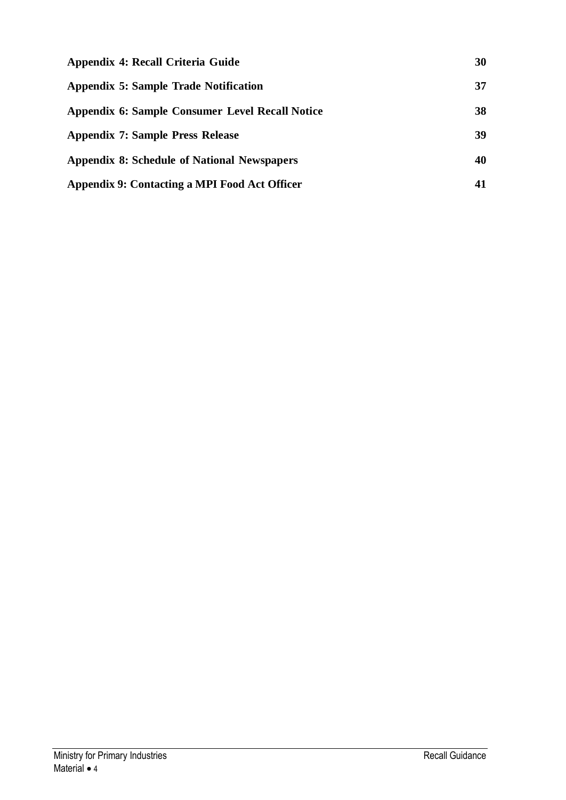| Appendix 4: Recall Criteria Guide                    | 30 |
|------------------------------------------------------|----|
| Appendix 5: Sample Trade Notification                | 37 |
| Appendix 6: Sample Consumer Level Recall Notice      | 38 |
| <b>Appendix 7: Sample Press Release</b>              | 39 |
| <b>Appendix 8: Schedule of National Newspapers</b>   | 40 |
| <b>Appendix 9: Contacting a MPI Food Act Officer</b> | 41 |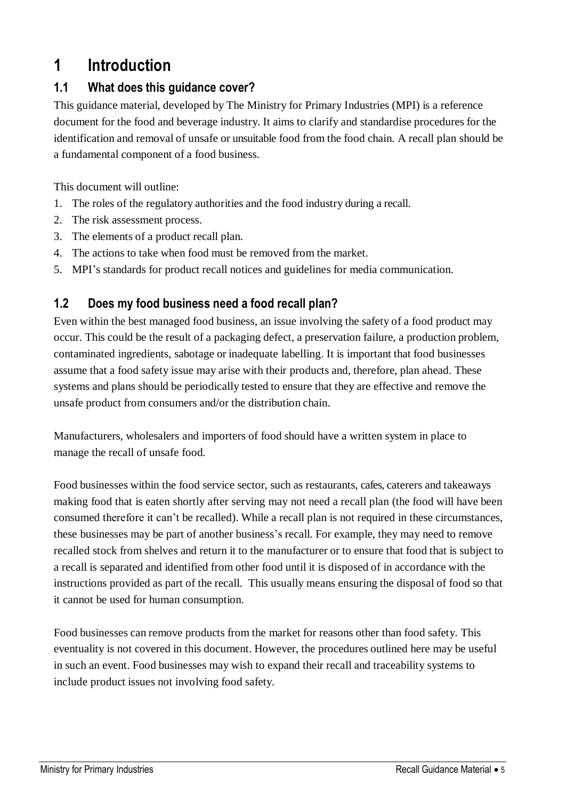# <span id="page-4-0"></span>**1 Introduction**

# <span id="page-4-1"></span>**1.1 What does this guidance cover?**

This guidance material, developed by The Ministry for Primary Industries (MPI) is a reference document for the food and beverage industry. It aims to clarify and standardise procedures for the identification and removal of unsafe or unsuitable food from the food chain. A recall plan should be a fundamental component of a food business.

This document will outline:

- 1. The roles of the regulatory authorities and the food industry during a recall.
- 2. The risk assessment process.
- 3. The elements of a product recall plan.
- 4. The actions to take when food must be removed from the market.
- 5. MPI's standards for product recall notices and guidelines for media communication.

#### <span id="page-4-2"></span>**1.2 Does my food business need a food recall plan?**

Even within the best managed food business, an issue involving the safety of a food product may occur. This could be the result of a packaging defect, a preservation failure, a production problem, contaminated ingredients, sabotage or inadequate labelling. It is important that food businesses assume that a food safety issue may arise with their products and, therefore, plan ahead. These systems and plans should be periodically tested to ensure that they are effective and remove the unsafe product from consumers and/or the distribution chain.

Manufacturers, wholesalers and importers of food should have a written system in place to manage the recall of unsafe food.

Food businesses within the food service sector, such as restaurants, cafes, caterers and takeaways making food that is eaten shortly after serving may not need a recall plan (the food will have been consumed therefore it can't be recalled). While a recall plan is not required in these circumstances, these businesses may be part of another business's recall. For example, they may need to remove recalled stock from shelves and return it to the manufacturer or to ensure that food that is subject to a recall is separated and identified from other food until it is disposed of in accordance with the instructions provided as part of the recall. This usually means ensuring the disposal of food so that it cannot be used for human consumption.

Food businesses can remove products from the market for reasons other than food safety. This eventuality is not covered in this document. However, the procedures outlined here may be useful in such an event. Food businesses may wish to expand their recall and traceability systems to include product issues not involving food safety.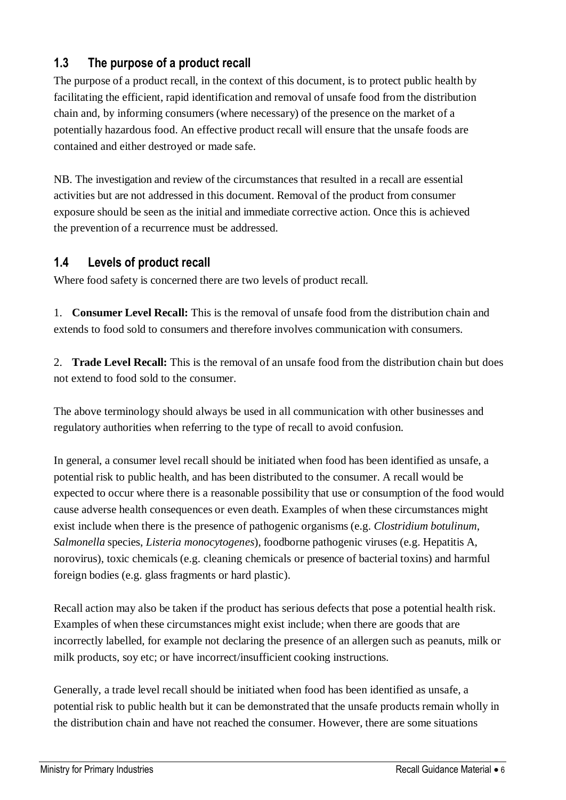### <span id="page-5-0"></span>**1.3 The purpose of a product recall**

The purpose of a product recall, in the context of this document, is to protect public health by facilitating the efficient, rapid identification and removal of unsafe food from the distribution chain and, by informing consumers (where necessary) of the presence on the market of a potentially hazardous food. An effective product recall will ensure that the unsafe foods are contained and either destroyed or made safe.

NB. The investigation and review of the circumstances that resulted in a recall are essential activities but are not addressed in this document. Removal of the product from consumer exposure should be seen as the initial and immediate corrective action. Once this is achieved the prevention of a recurrence must be addressed.

#### <span id="page-5-1"></span>**1.4 Levels of product recall**

Where food safety is concerned there are two levels of product recall.

1. **Consumer Level Recall:** This is the removal of unsafe food from the distribution chain and extends to food sold to consumers and therefore involves communication with consumers.

2. **Trade Level Recall:** This is the removal of an unsafe food from the distribution chain but does not extend to food sold to the consumer.

The above terminology should always be used in all communication with other businesses and regulatory authorities when referring to the type of recall to avoid confusion.

In general, a consumer level recall should be initiated when food has been identified as unsafe, a potential risk to public health, and has been distributed to the consumer. A recall would be expected to occur where there is a reasonable possibility that use or consumption of the food would cause adverse health consequences or even death. Examples of when these circumstances might exist include when there is the presence of pathogenic organisms (e.g. *Clostridium botulinum*, *Salmonella* species, *Listeria monocytogenes*), foodborne pathogenic viruses (e.g. Hepatitis A, norovirus), toxic chemicals (e.g. cleaning chemicals or presence of bacterial toxins) and harmful foreign bodies (e.g. glass fragments or hard plastic).

Recall action may also be taken if the product has serious defects that pose a potential health risk. Examples of when these circumstances might exist include; when there are goods that are incorrectly labelled, for example not declaring the presence of an allergen such as peanuts, milk or milk products, soy etc; or have incorrect/insufficient cooking instructions.

Generally, a trade level recall should be initiated when food has been identified as unsafe, a potential risk to public health but it can be demonstrated that the unsafe products remain wholly in the distribution chain and have not reached the consumer. However, there are some situations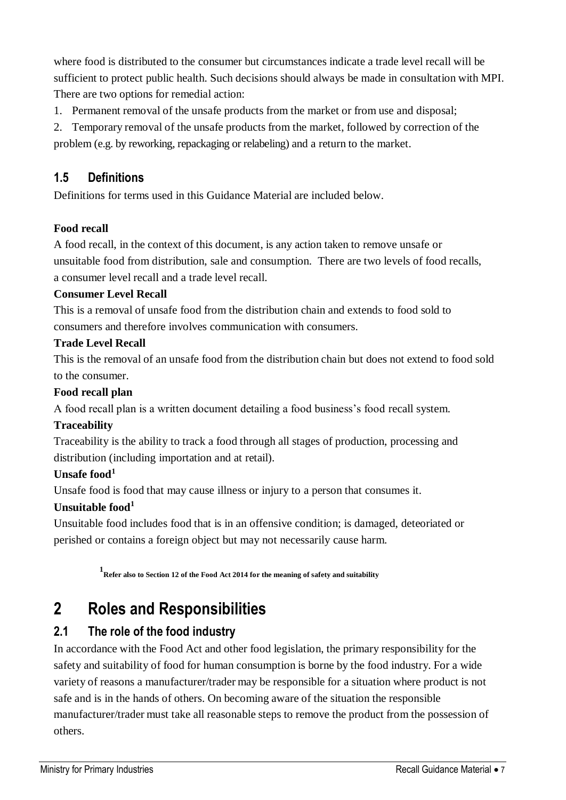where food is distributed to the consumer but circumstances indicate a trade level recall will be sufficient to protect public health. Such decisions should always be made in consultation with MPI. There are two options for remedial action:

- 1. Permanent removal of the unsafe products from the market or from use and disposal;
- 2. Temporary removal of the unsafe products from the market, followed by correction of the problem (e.g. by reworking, repackaging or relabeling) and a return to the market.

#### <span id="page-6-0"></span>**1.5 Definitions**

Definitions for terms used in this Guidance Material are included below.

#### **Food recall**

A food recall, in the context of this document, is any action taken to remove unsafe or unsuitable food from distribution, sale and consumption. There are two levels of food recalls, a consumer level recall and a trade level recall.

#### **Consumer Level Recall**

This is a removal of unsafe food from the distribution chain and extends to food sold to consumers and therefore involves communication with consumers.

#### **Trade Level Recall**

This is the removal of an unsafe food from the distribution chain but does not extend to food sold to the consumer.

#### **Food recall plan**

A food recall plan is a written document detailing a food business's food recall system.

#### **Traceability**

Traceability is the ability to track a food through all stages of production, processing and distribution (including importation and at retail).

#### **Unsafe food<sup>1</sup>**

Unsafe food is food that may cause illness or injury to a person that consumes it.

#### **Unsuitable food<sup>1</sup>**

Unsuitable food includes food that is in an offensive condition; is damaged, deteoriated or perished or contains a foreign object but may not necessarily cause harm.

**1 Refer also to Section 12 of the Food Act 2014 for the meaning of safety and suitability**

# <span id="page-6-1"></span>**2 Roles and Responsibilities**

#### <span id="page-6-2"></span>**2.1 The role of the food industry**

In accordance with the Food Act and other food legislation, the primary responsibility for the safety and suitability of food for human consumption is borne by the food industry. For a wide variety of reasons a manufacturer/trader may be responsible for a situation where product is not safe and is in the hands of others. On becoming aware of the situation the responsible manufacturer/trader must take all reasonable steps to remove the product from the possession of others.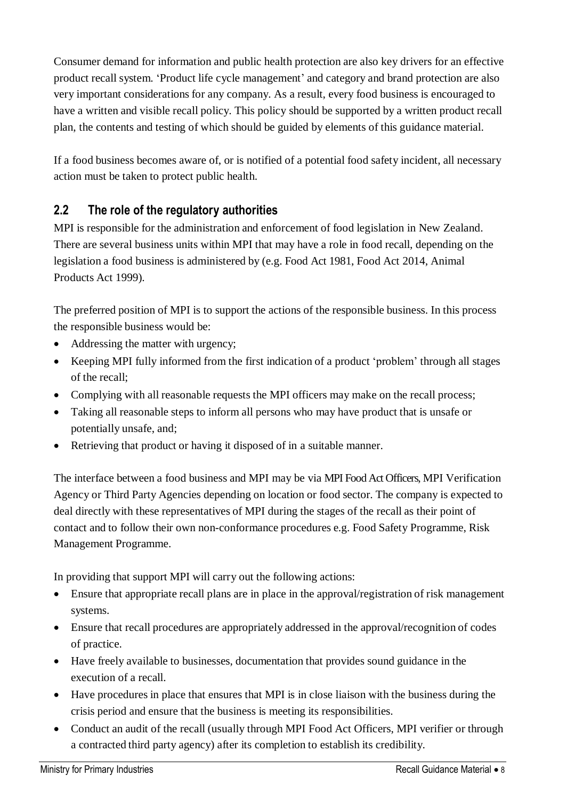Consumer demand for information and public health protection are also key drivers for an effective product recall system. 'Product life cycle management' and category and brand protection are also very important considerations for any company. As a result, every food business is encouraged to have a written and visible recall policy. This policy should be supported by a written product recall plan, the contents and testing of which should be guided by elements of this guidance material.

If a food business becomes aware of, or is notified of a potential food safety incident, all necessary action must be taken to protect public health.

### <span id="page-7-0"></span>**2.2 The role of the regulatory authorities**

MPI is responsible for the administration and enforcement of food legislation in New Zealand. There are several business units within MPI that may have a role in food recall, depending on the legislation a food business is administered by (e.g. Food Act 1981, Food Act 2014, Animal Products Act 1999).

The preferred position of MPI is to support the actions of the responsible business. In this process the responsible business would be:

- Addressing the matter with urgency;
- Keeping MPI fully informed from the first indication of a product 'problem' through all stages of the recall;
- Complying with all reasonable requests the MPI officers may make on the recall process;
- Taking all reasonable steps to inform all persons who may have product that is unsafe or potentially unsafe, and;
- Retrieving that product or having it disposed of in a suitable manner.

The interface between a food business and MPI may be via MPI Food Act Officers, MPI Verification Agency or Third Party Agencies depending on location or food sector. The company is expected to deal directly with these representatives of MPI during the stages of the recall as their point of contact and to follow their own non-conformance procedures e.g. Food Safety Programme, Risk Management Programme.

In providing that support MPI will carry out the following actions:

- Ensure that appropriate recall plans are in place in the approval/registration of risk management systems.
- Ensure that recall procedures are appropriately addressed in the approval/recognition of codes of practice.
- Have freely available to businesses, documentation that provides sound guidance in the execution of a recall.
- Have procedures in place that ensures that MPI is in close liaison with the business during the crisis period and ensure that the business is meeting its responsibilities.
- Conduct an audit of the recall (usually through MPI Food Act Officers, MPI verifier or through a contracted third party agency) after its completion to establish its credibility.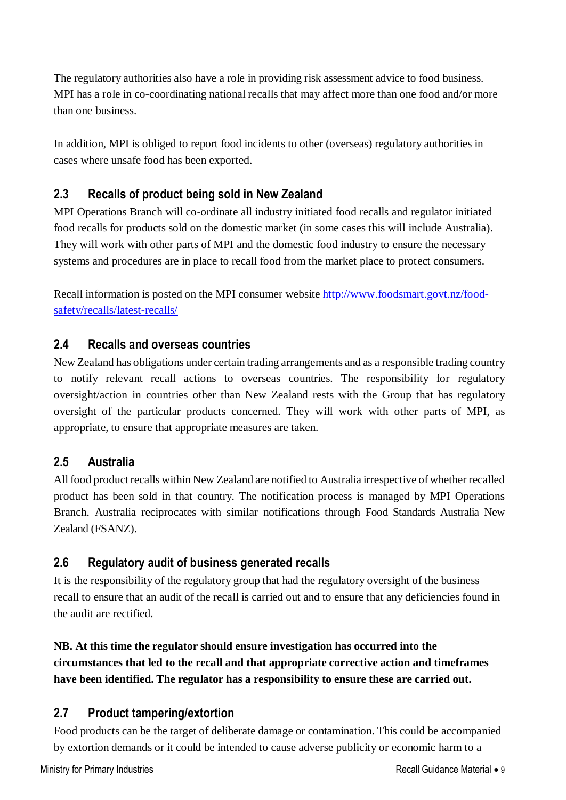The regulatory authorities also have a role in providing risk assessment advice to food business. MPI has a role in co-coordinating national recalls that may affect more than one food and/or more than one business.

In addition, MPI is obliged to report food incidents to other (overseas) regulatory authorities in cases where unsafe food has been exported.

## <span id="page-8-0"></span>**2.3 Recalls of product being sold in New Zealand**

MPI Operations Branch will co-ordinate all industry initiated food recalls and regulator initiated food recalls for products sold on the domestic market (in some cases this will include Australia). They will work with other parts of MPI and the domestic food industry to ensure the necessary systems and procedures are in place to recall food from the market place to protect consumers.

Recall information is posted on the MPI consumer website [http://www.foodsmart.govt.nz/food](http://www.foodsmart.govt.nz/food-safety/recalls/latest-recalls/)[safety/recalls/latest-recalls/](http://www.foodsmart.govt.nz/food-safety/recalls/latest-recalls/)

### <span id="page-8-1"></span>**2.4 Recalls and overseas countries**

New Zealand has obligations under certain trading arrangements and as a responsible trading country to notify relevant recall actions to overseas countries. The responsibility for regulatory oversight/action in countries other than New Zealand rests with the Group that has regulatory oversight of the particular products concerned. They will work with other parts of MPI, as appropriate, to ensure that appropriate measures are taken.

### <span id="page-8-2"></span>**2.5 Australia**

All food product recalls within New Zealand are notified to Australia irrespective of whether recalled product has been sold in that country. The notification process is managed by MPI Operations Branch. Australia reciprocates with similar notifications through Food Standards Australia New Zealand (FSANZ).

### <span id="page-8-3"></span>**2.6 Regulatory audit of business generated recalls**

It is the responsibility of the regulatory group that had the regulatory oversight of the business recall to ensure that an audit of the recall is carried out and to ensure that any deficiencies found in the audit are rectified.

### **NB. At this time the regulator should ensure investigation has occurred into the circumstances that led to the recall and that appropriate corrective action and timeframes have been identified. The regulator has a responsibility to ensure these are carried out.**

#### <span id="page-8-4"></span>**2.7 Product tampering/extortion**

Food products can be the target of deliberate damage or contamination. This could be accompanied by extortion demands or it could be intended to cause adverse publicity or economic harm to a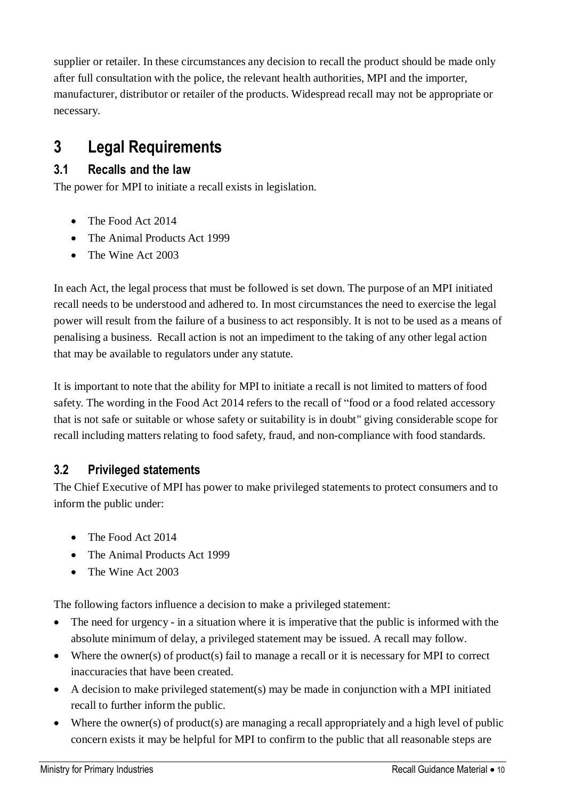supplier or retailer. In these circumstances any decision to recall the product should be made only after full consultation with the police, the relevant health authorities, MPI and the importer, manufacturer, distributor or retailer of the products. Widespread recall may not be appropriate or necessary.

# <span id="page-9-0"></span>**3 Legal Requirements**

### <span id="page-9-1"></span>**3.1 Recalls and the law**

The power for MPI to initiate a recall exists in legislation.

- The Food Act 2014
- The Animal Products Act 1999
- The Wine Act 2003

In each Act, the legal process that must be followed is set down. The purpose of an MPI initiated recall needs to be understood and adhered to. In most circumstances the need to exercise the legal power will result from the failure of a business to act responsibly. It is not to be used as a means of penalising a business. Recall action is not an impediment to the taking of any other legal action that may be available to regulators under any statute.

It is important to note that the ability for MPI to initiate a recall is not limited to matters of food safety. The wording in the Food Act 2014 refers to the recall of "food or a food related accessory that is not safe or suitable or whose safety or suitability is in doubt" giving considerable scope for recall including matters relating to food safety, fraud, and non-compliance with food standards.

### <span id="page-9-2"></span>**3.2 Privileged statements**

The Chief Executive of MPI has power to make privileged statements to protect consumers and to inform the public under:

- The Food Act 2014
- The Animal Products Act 1999
- The Wine Act 2003

The following factors influence a decision to make a privileged statement:

- The need for urgency in a situation where it is imperative that the public is informed with the absolute minimum of delay, a privileged statement may be issued. A recall may follow.
- Where the owner(s) of product(s) fail to manage a recall or it is necessary for MPI to correct inaccuracies that have been created.
- A decision to make privileged statement(s) may be made in conjunction with a MPI initiated recall to further inform the public.
- $\bullet$  Where the owner(s) of product(s) are managing a recall appropriately and a high level of public concern exists it may be helpful for MPI to confirm to the public that all reasonable steps are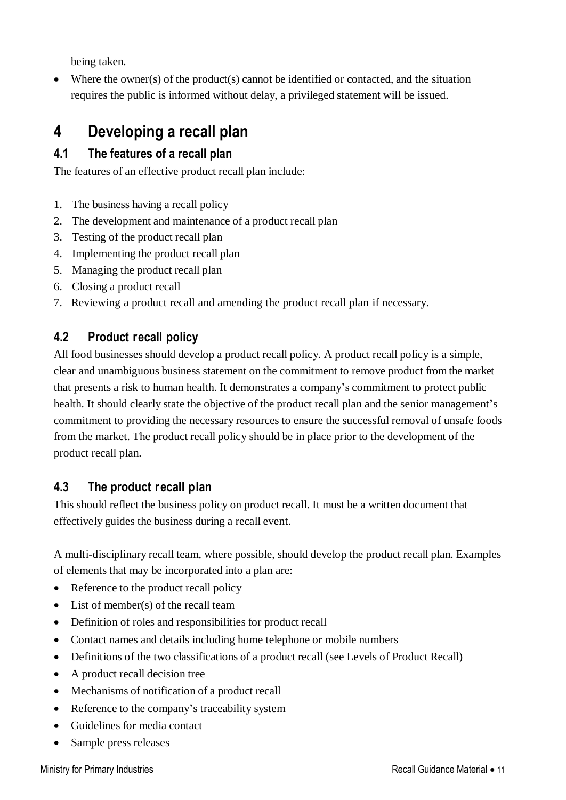being taken.

 $\bullet$  Where the owner(s) of the product(s) cannot be identified or contacted, and the situation requires the public is informed without delay, a privileged statement will be issued.

# <span id="page-10-0"></span>**4 Developing a recall plan**

# <span id="page-10-1"></span>**4.1 The features of a recall plan**

The features of an effective product recall plan include:

- 1. The business having a recall policy
- 2. The development and maintenance of a product recall plan
- 3. Testing of the product recall plan
- 4. Implementing the product recall plan
- 5. Managing the product recall plan
- 6. Closing a product recall
- 7. Reviewing a product recall and amending the product recall plan if necessary.

### <span id="page-10-2"></span>**4.2 Product recall policy**

All food businesses should develop a product recall policy. A product recall policy is a simple, clear and unambiguous business statement on the commitment to remove product from the market that presents a risk to human health. It demonstrates a company's commitment to protect public health. It should clearly state the objective of the product recall plan and the senior management's commitment to providing the necessary resources to ensure the successful removal of unsafe foods from the market. The product recall policy should be in place prior to the development of the product recall plan.

### <span id="page-10-3"></span>**4.3 The product recall plan**

This should reflect the business policy on product recall. It must be a written document that effectively guides the business during a recall event.

A multi-disciplinary recall team, where possible, should develop the product recall plan. Examples of elements that may be incorporated into a plan are:

- Reference to the product recall policy
- List of member(s) of the recall team
- Definition of roles and responsibilities for product recall
- Contact names and details including home telephone or mobile numbers
- Definitions of the two classifications of a product recall (see Levels of Product Recall)
- A product recall decision tree
- Mechanisms of notification of a product recall
- Reference to the company's traceability system
- Guidelines for media contact
- Sample press releases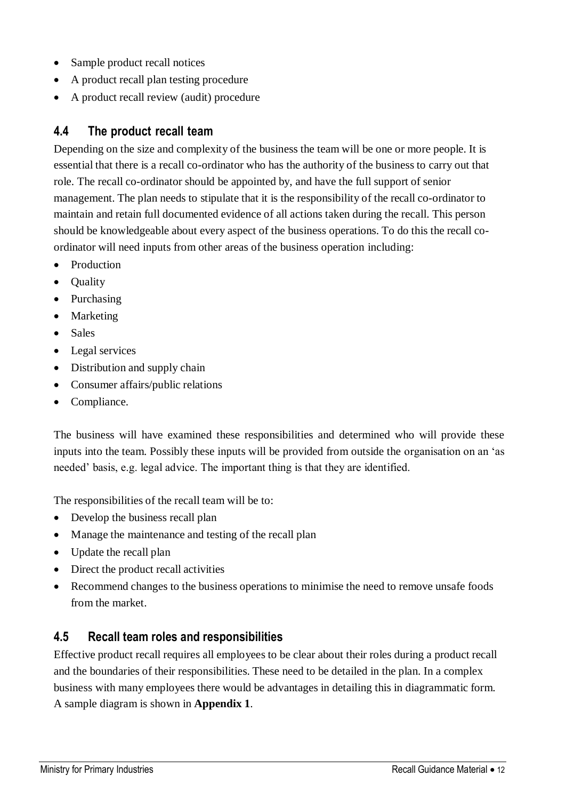- Sample product recall notices
- A product recall plan testing procedure
- A product recall review (audit) procedure

#### <span id="page-11-0"></span>**4.4 The product recall team**

Depending on the size and complexity of the business the team will be one or more people. It is essential that there is a recall co-ordinator who has the authority of the business to carry out that role. The recall co-ordinator should be appointed by, and have the full support of senior management. The plan needs to stipulate that it is the responsibility of the recall co-ordinator to maintain and retain full documented evidence of all actions taken during the recall. This person should be knowledgeable about every aspect of the business operations. To do this the recall coordinator will need inputs from other areas of the business operation including:

- Production
- Quality
- Purchasing
- Marketing
- Sales
- Legal services
- Distribution and supply chain
- Consumer affairs/public relations
- Compliance.

The business will have examined these responsibilities and determined who will provide these inputs into the team. Possibly these inputs will be provided from outside the organisation on an 'as needed' basis, e.g. legal advice. The important thing is that they are identified.

The responsibilities of the recall team will be to:

- Develop the business recall plan
- Manage the maintenance and testing of the recall plan
- Update the recall plan
- Direct the product recall activities
- Recommend changes to the business operations to minimise the need to remove unsafe foods from the market.

#### <span id="page-11-1"></span>**4.5 Recall team roles and responsibilities**

Effective product recall requires all employees to be clear about their roles during a product recall and the boundaries of their responsibilities. These need to be detailed in the plan. In a complex business with many employees there would be advantages in detailing this in diagrammatic form. A sample diagram is shown in **Appendix 1**.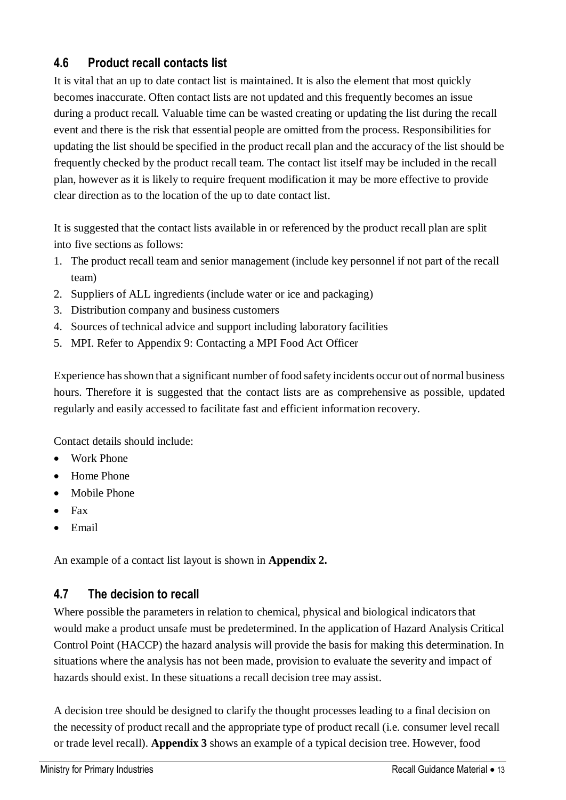### <span id="page-12-0"></span>**4.6 Product recall contacts list**

It is vital that an up to date contact list is maintained. It is also the element that most quickly becomes inaccurate. Often contact lists are not updated and this frequently becomes an issue during a product recall. Valuable time can be wasted creating or updating the list during the recall event and there is the risk that essential people are omitted from the process. Responsibilities for updating the list should be specified in the product recall plan and the accuracy of the list should be frequently checked by the product recall team. The contact list itself may be included in the recall plan, however as it is likely to require frequent modification it may be more effective to provide clear direction as to the location of the up to date contact list.

It is suggested that the contact lists available in or referenced by the product recall plan are split into five sections as follows:

- 1. The product recall team and senior management (include key personnel if not part of the recall team)
- 2. Suppliers of ALL ingredients (include water or ice and packaging)
- 3. Distribution company and business customers
- 4. Sources of technical advice and support including laboratory facilities
- 5. MPI. Refer to Appendix 9: Contacting a MPI Food Act Officer

Experience hasshown that a significant number of food safety incidents occur out of normal business hours. Therefore it is suggested that the contact lists are as comprehensive as possible, updated regularly and easily accessed to facilitate fast and efficient information recovery.

Contact details should include:

- Work Phone
- Home Phone
- Mobile Phone
- $\bullet$  Fax
- Email

An example of a contact list layout is shown in **Appendix 2.**

#### <span id="page-12-1"></span>**4.7 The decision to recall**

Where possible the parameters in relation to chemical, physical and biological indicators that would make a product unsafe must be predetermined. In the application of Hazard Analysis Critical Control Point (HACCP) the hazard analysis will provide the basis for making this determination. In situations where the analysis has not been made, provision to evaluate the severity and impact of hazards should exist. In these situations a recall decision tree may assist.

A decision tree should be designed to clarify the thought processes leading to a final decision on the necessity of product recall and the appropriate type of product recall (i.e. consumer level recall or trade level recall). **Appendix 3** shows an example of a typical decision tree. However, food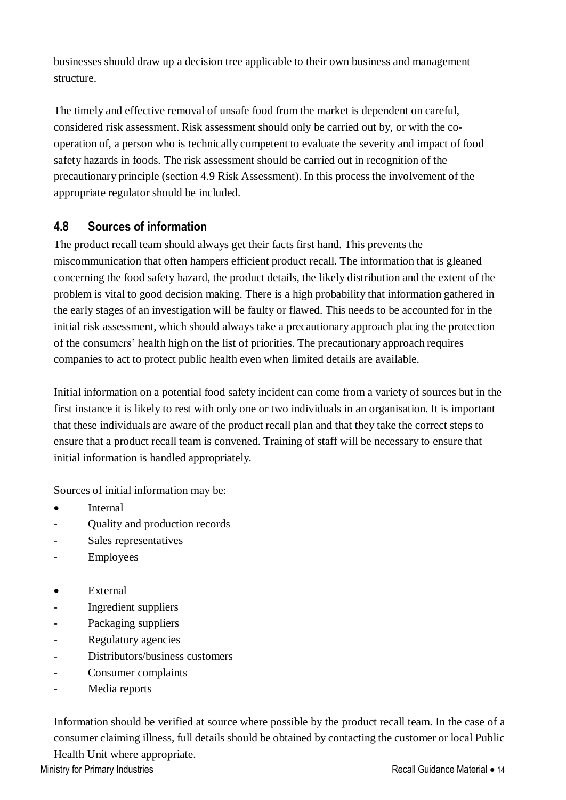businesses should draw up a decision tree applicable to their own business and management structure.

The timely and effective removal of unsafe food from the market is dependent on careful, considered risk assessment. Risk assessment should only be carried out by, or with the cooperation of, a person who is technically competent to evaluate the severity and impact of food safety hazards in foods. The risk assessment should be carried out in recognition of the precautionary principle (section 4.9 Risk Assessment). In this process the involvement of the appropriate regulator should be included.

### <span id="page-13-0"></span>**4.8 Sources of information**

The product recall team should always get their facts first hand. This prevents the miscommunication that often hampers efficient product recall. The information that is gleaned concerning the food safety hazard, the product details, the likely distribution and the extent of the problem is vital to good decision making. There is a high probability that information gathered in the early stages of an investigation will be faulty or flawed. This needs to be accounted for in the initial risk assessment, which should always take a precautionary approach placing the protection of the consumers' health high on the list of priorities. The precautionary approach requires companies to act to protect public health even when limited details are available.

Initial information on a potential food safety incident can come from a variety of sources but in the first instance it is likely to rest with only one or two individuals in an organisation. It is important that these individuals are aware of the product recall plan and that they take the correct steps to ensure that a product recall team is convened. Training of staff will be necessary to ensure that initial information is handled appropriately.

Sources of initial information may be:

- Internal
- Quality and production records
- Sales representatives
- **Employees**
- External
- Ingredient suppliers
- Packaging suppliers
- Regulatory agencies
- Distributors/business customers
- Consumer complaints
- Media reports

Information should be verified at source where possible by the product recall team. In the case of a consumer claiming illness, full details should be obtained by contacting the customer or local Public Health Unit where appropriate.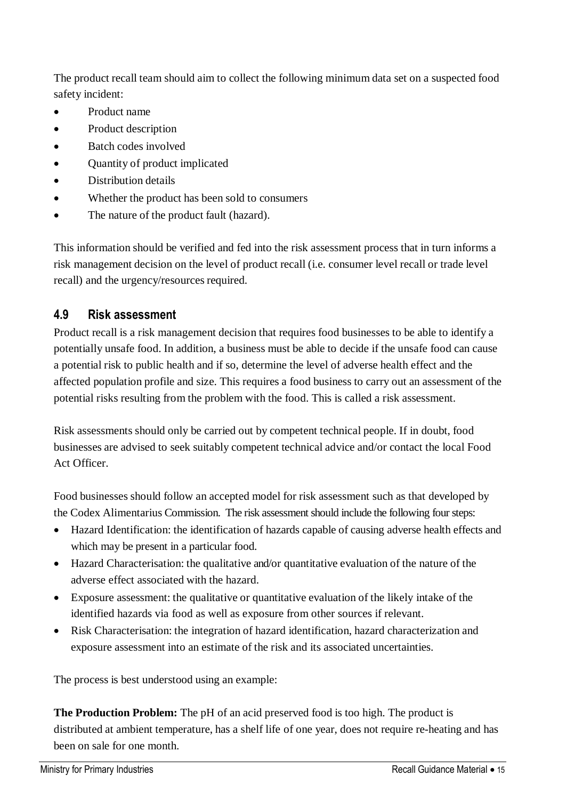The product recall team should aim to collect the following minimum data set on a suspected food safety incident:

- Product name
- Product description
- Batch codes involved
- Quantity of product implicated
- Distribution details
- Whether the product has been sold to consumers
- The nature of the product fault (hazard).

This information should be verified and fed into the risk assessment process that in turn informs a risk management decision on the level of product recall (i.e. consumer level recall or trade level recall) and the urgency/resources required.

#### <span id="page-14-0"></span>**4.9 Risk assessment**

Product recall is a risk management decision that requires food businesses to be able to identify a potentially unsafe food. In addition, a business must be able to decide if the unsafe food can cause a potential risk to public health and if so, determine the level of adverse health effect and the affected population profile and size. This requires a food business to carry out an assessment of the potential risks resulting from the problem with the food. This is called a risk assessment.

Risk assessments should only be carried out by competent technical people. If in doubt, food businesses are advised to seek suitably competent technical advice and/or contact the local Food Act Officer.

Food businesses should follow an accepted model for risk assessment such as that developed by the Codex Alimentarius Commission. The risk assessment should include the following four steps:

- Hazard Identification: the identification of hazards capable of causing adverse health effects and which may be present in a particular food.
- Hazard Characterisation: the qualitative and/or quantitative evaluation of the nature of the adverse effect associated with the hazard.
- Exposure assessment: the qualitative or quantitative evaluation of the likely intake of the identified hazards via food as well as exposure from other sources if relevant.
- Risk Characterisation: the integration of hazard identification, hazard characterization and exposure assessment into an estimate of the risk and its associated uncertainties.

The process is best understood using an example:

**The Production Problem:** The pH of an acid preserved food is too high. The product is distributed at ambient temperature, has a shelf life of one year, does not require re-heating and has been on sale for one month.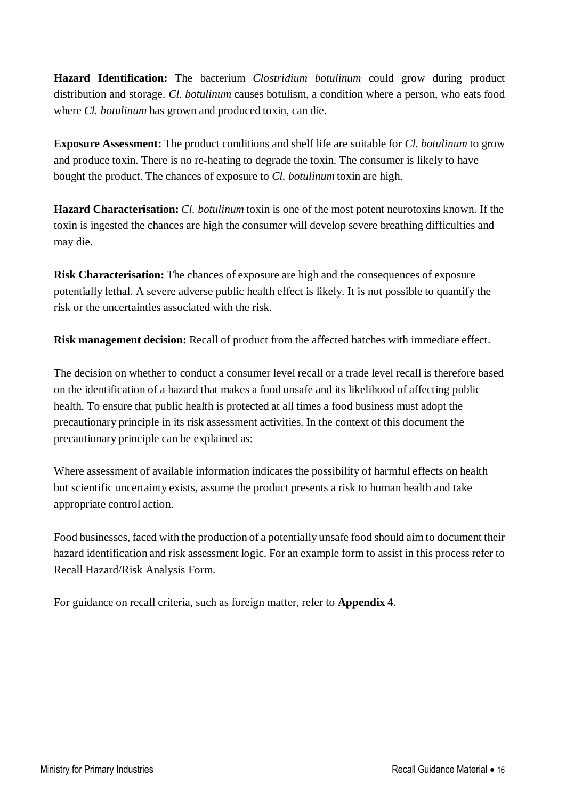**Hazard Identification:** The bacterium *Clostridium botulinum* could grow during product distribution and storage. *Cl. botulinum* causes botulism, a condition where a person, who eats food where *Cl. botulinum* has grown and produced toxin, can die.

**Exposure Assessment:** The product conditions and shelf life are suitable for *Cl. botulinum* to grow and produce toxin. There is no re-heating to degrade the toxin. The consumer is likely to have bought the product. The chances of exposure to *Cl. botulinum* toxin are high.

**Hazard Characterisation:** *Cl. botulinum* toxin is one of the most potent neurotoxins known. If the toxin is ingested the chances are high the consumer will develop severe breathing difficulties and may die.

**Risk Characterisation:** The chances of exposure are high and the consequences of exposure potentially lethal. A severe adverse public health effect is likely. It is not possible to quantify the risk or the uncertainties associated with the risk.

**Risk management decision:** Recall of product from the affected batches with immediate effect.

The decision on whether to conduct a consumer level recall or a trade level recall is therefore based on the identification of a hazard that makes a food unsafe and its likelihood of affecting public health. To ensure that public health is protected at all times a food business must adopt the precautionary principle in its risk assessment activities. In the context of this document the precautionary principle can be explained as:

Where assessment of available information indicates the possibility of harmful effects on health but scientific uncertainty exists, assume the product presents a risk to human health and take appropriate control action.

Food businesses, faced with the production of a potentially unsafe food should aim to document their hazard identification and risk assessment logic. For an example form to assist in this process refer to Recall Hazard/Risk Analysis Form.

<span id="page-15-0"></span>For guidance on recall criteria, such as foreign matter, refer to **Appendix 4**.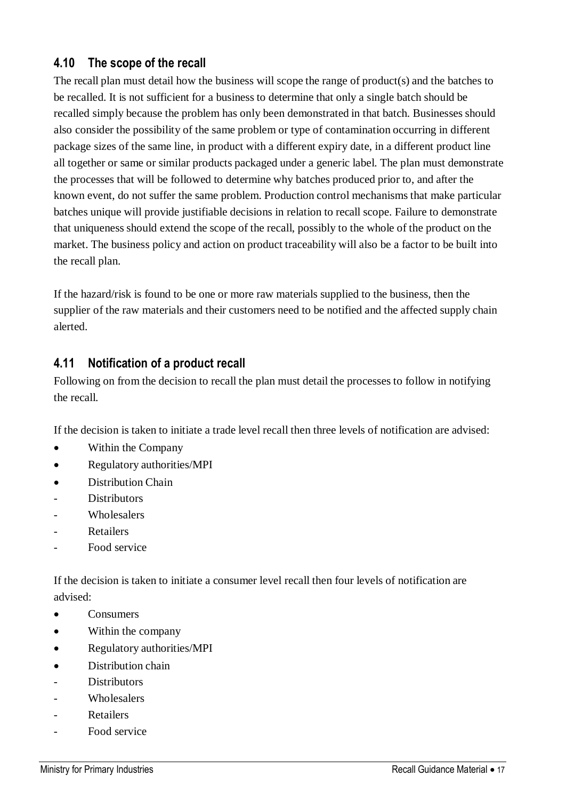### **4.10 The scope of the recall**

The recall plan must detail how the business will scope the range of product(s) and the batches to be recalled. It is not sufficient for a business to determine that only a single batch should be recalled simply because the problem has only been demonstrated in that batch. Businesses should also consider the possibility of the same problem or type of contamination occurring in different package sizes of the same line, in product with a different expiry date, in a different product line all together or same or similar products packaged under a generic label. The plan must demonstrate the processes that will be followed to determine why batches produced prior to, and after the known event, do not suffer the same problem. Production control mechanisms that make particular batches unique will provide justifiable decisions in relation to recall scope. Failure to demonstrate that uniqueness should extend the scope of the recall, possibly to the whole of the product on the market. The business policy and action on product traceability will also be a factor to be built into the recall plan.

If the hazard/risk is found to be one or more raw materials supplied to the business, then the supplier of the raw materials and their customers need to be notified and the affected supply chain alerted.

#### <span id="page-16-0"></span>**4.11 Notification of a product recall**

Following on from the decision to recall the plan must detail the processes to follow in notifying the recall.

If the decision is taken to initiate a trade level recall then three levels of notification are advised:

- Within the Company
- Regulatory authorities/MPI
- Distribution Chain
- **Distributors**
- **Wholesalers**
- **Retailers**
- Food service

If the decision is taken to initiate a consumer level recall then four levels of notification are advised:

- **Consumers**
- Within the company
- Regulatory authorities/MPI
- Distribution chain
- **Distributors**
- **Wholesalers**
- **Retailers**
- Food service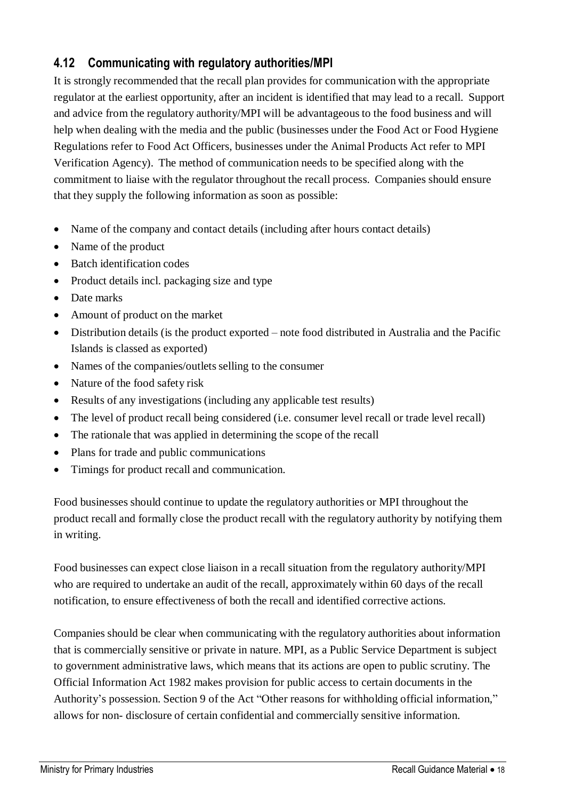### <span id="page-17-0"></span>**4.12 Communicating with regulatory authorities/MPI**

It is strongly recommended that the recall plan provides for communication with the appropriate regulator at the earliest opportunity, after an incident is identified that may lead to a recall. Support and advice from the regulatory authority/MPI will be advantageousto the food business and will help when dealing with the media and the public (businesses under the Food Act or Food Hygiene Regulations refer to Food Act Officers, businesses under the Animal Products Act refer to [MPI](http://www.nzfsa.govt.nz/verification-agency/about/vateamleader.htm) [Verification](http://www.nzfsa.govt.nz/verification-agency/about/vateamleader.htm) [Agency\).](http://www.nzfsa.govt.nz/verification-agency/about/vateamleader.htm) The method of communication needs to be specified along with the commitment to liaise with the regulator throughout the recall process. Companies should ensure that they supply the following information as soon as possible:

- Name of the company and contact details (including after hours contact details)
- Name of the product
- Batch identification codes
- Product details incl. packaging size and type
- Date marks
- Amount of product on the market
- Distribution details (is the product exported note food distributed in Australia and the Pacific Islands is classed as exported)
- Names of the companies/outlets selling to the consumer
- Nature of the food safety risk
- Results of any investigations (including any applicable test results)
- The level of product recall being considered (i.e. consumer level recall or trade level recall)
- The rationale that was applied in determining the scope of the recall
- Plans for trade and public communications
- Timings for product recall and communication.

Food businesses should continue to update the regulatory authorities or MPI throughout the product recall and formally close the product recall with the regulatory authority by notifying them in writing.

Food businesses can expect close liaison in a recall situation from the regulatory authority/MPI who are required to undertake an audit of the recall, approximately within 60 days of the recall notification, to ensure effectiveness of both the recall and identified corrective actions.

Companies should be clear when communicating with the regulatory authorities about information that is commercially sensitive or private in nature. MPI, as a Public Service Department is subject to government administrative laws, which means that its actions are open to public scrutiny. The Official Information Act 1982 makes provision for public access to certain documents in the Authority's possession. Section 9 of the Act "Other reasons for withholding official information," allows for non- disclosure of certain confidential and commercially sensitive information.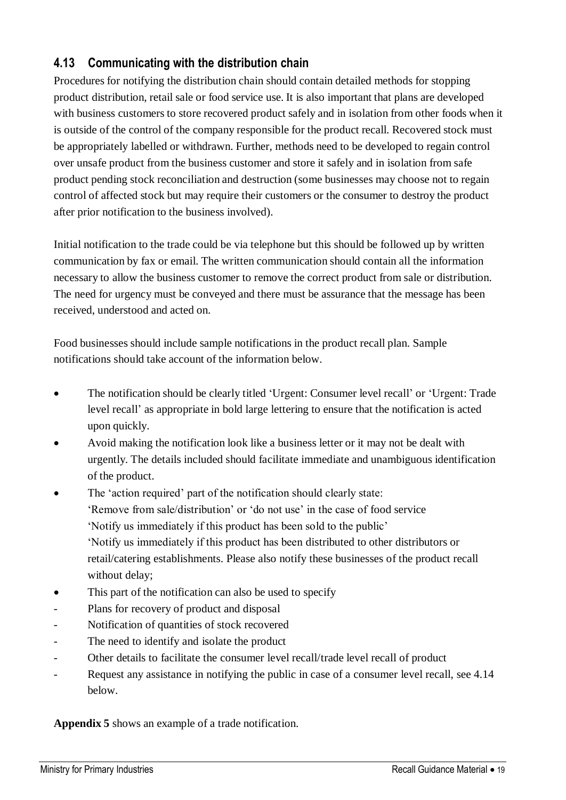### <span id="page-18-0"></span>**4.13 Communicating with the distribution chain**

Procedures for notifying the distribution chain should contain detailed methods for stopping product distribution, retail sale or food service use. It is also important that plans are developed with business customers to store recovered product safely and in isolation from other foods when it is outside of the control of the company responsible for the product recall. Recovered stock must be appropriately labelled or withdrawn. Further, methods need to be developed to regain control over unsafe product from the business customer and store it safely and in isolation from safe product pending stock reconciliation and destruction (some businesses may choose not to regain control of affected stock but may require their customers or the consumer to destroy the product after prior notification to the business involved).

Initial notification to the trade could be via telephone but this should be followed up by written communication by fax or email. The written communication should contain all the information necessary to allow the business customer to remove the correct product from sale or distribution. The need for urgency must be conveyed and there must be assurance that the message has been received, understood and acted on.

Food businesses should include sample notifications in the product recall plan. Sample notifications should take account of the information below.

- The notification should be clearly titled 'Urgent: Consumer level recall' or 'Urgent: Trade level recall' as appropriate in bold large lettering to ensure that the notification is acted upon quickly.
- Avoid making the notification look like a business letter or it may not be dealt with urgently. The details included should facilitate immediate and unambiguous identification of the product.
- The 'action required' part of the notification should clearly state: 'Remove from sale/distribution' or 'do not use' in the case of food service 'Notify us immediately if this product has been sold to the public' 'Notify us immediately if this product has been distributed to other distributors or retail/catering establishments. Please also notify these businesses of the product recall without delay;
- This part of the notification can also be used to specify
- Plans for recovery of product and disposal
- Notification of quantities of stock recovered
- The need to identify and isolate the product
- Other details to facilitate the consumer level recall/trade level recall of product
- Request any assistance in notifying the public in case of a consumer level recall, see 4.14 below.

**Appendix 5** shows an example of a trade notification.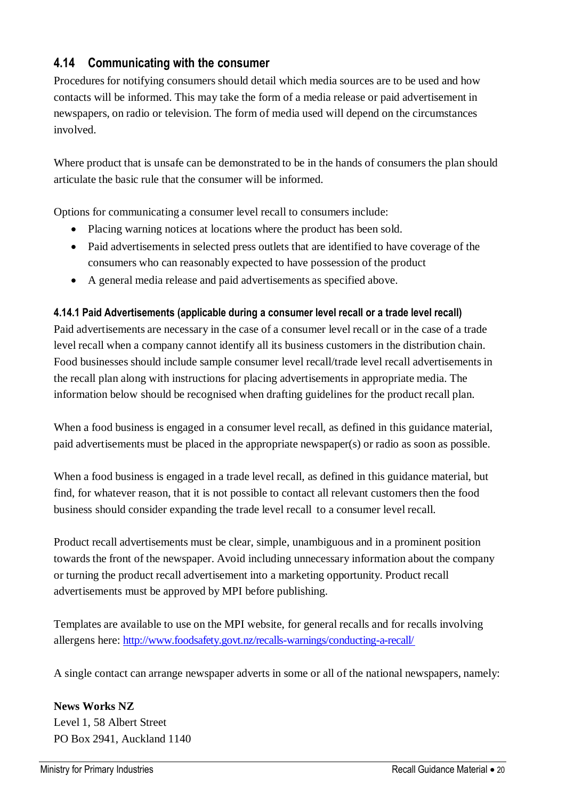#### <span id="page-19-0"></span>**4.14 Communicating with the consumer**

Procedures for notifying consumers should detail which media sources are to be used and how contacts will be informed. This may take the form of a media release or paid advertisement in newspapers, on radio or television. The form of media used will depend on the circumstances involved.

Where product that is unsafe can be demonstrated to be in the hands of consumers the plan should articulate the basic rule that the consumer will be informed.

Options for communicating a consumer level recall to consumers include:

- Placing warning notices at locations where the product has been sold.
- Paid advertisements in selected press outlets that are identified to have coverage of the consumers who can reasonably expected to have possession of the product
- A general media release and paid advertisements as specified above.

#### **4.14.1 Paid Advertisements (applicable during a consumer level recall or a trade level recall)**

Paid advertisements are necessary in the case of a consumer level recall or in the case of a trade level recall when a company cannot identify all its business customers in the distribution chain. Food businesses should include sample consumer level recall/trade level recall advertisements in the recall plan along with instructions for placing advertisements in appropriate media. The information below should be recognised when drafting guidelines for the product recall plan.

When a food business is engaged in a consumer level recall, as defined in this guidance material, paid advertisements must be placed in the appropriate newspaper(s) or radio as soon as possible.

When a food business is engaged in a trade level recall, as defined in this guidance material, but find, for whatever reason, that it is not possible to contact all relevant customers then the food business should consider expanding the trade level recall to a consumer level recall.

Product recall advertisements must be clear, simple, unambiguous and in a prominent position towards the front of the newspaper. Avoid including unnecessary information about the company or turning the product recall advertisement into a marketing opportunity. Product recall advertisements must be approved by MPI before publishing.

Templates are available to use on the MPI website, for general recalls and for recalls involving allergens here: <http://www.foodsafety.govt.nz/recalls-warnings/conducting-a-recall/>

A single contact can arrange newspaper adverts in some or all of the national newspapers, namely:

**News Works NZ**  Level 1, 58 Albert Street PO Box 2941, Auckland 1140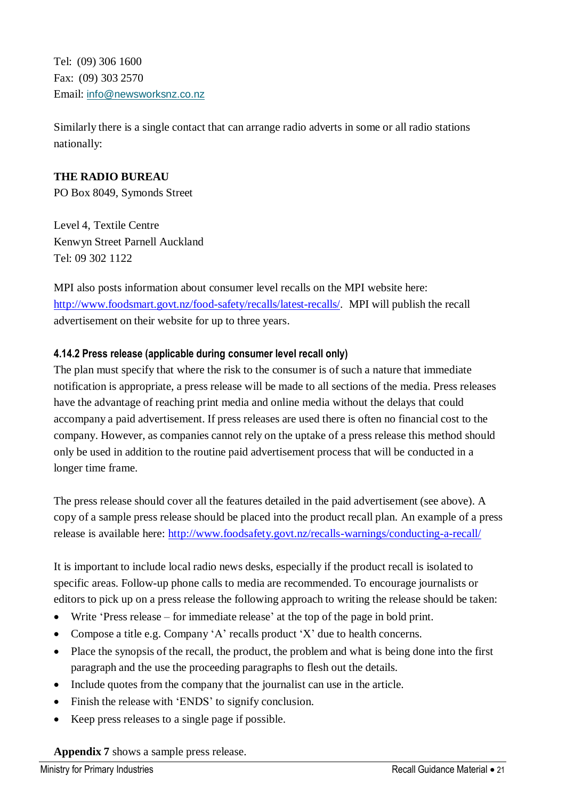Tel: (09) 306 1600 Fax: (09) 303 2570 Email: [info@newsworksnz.co.nz](mailto:info@nabs.co.nz)

Similarly there is a single contact that can arrange radio adverts in some or all radio stations nationally:

#### **THE RADIO BUREAU**

PO Box 8049, Symonds Street

Level 4, Textile Centre Kenwyn Street Parnell Auckland Tel: 09 302 1122

MPI also posts information about consumer level recalls on the MPI website here: [http://www.foodsmart.govt.nz/food-safety/recalls/latest-recalls/.](http://www.foodsmart.govt.nz/food-safety/recalls/latest-recalls/) MPI will publish the recall advertisement on their website for up to three years.

#### **4.14.2 Press release (applicable during consumer level recall only)**

The plan must specify that where the risk to the consumer is of such a nature that immediate notification is appropriate, a press release will be made to all sections of the media. Press releases have the advantage of reaching print media and online media without the delays that could accompany a paid advertisement. If press releases are used there is often no financial cost to the company. However, as companies cannot rely on the uptake of a press release this method should only be used in addition to the routine paid advertisement process that will be conducted in a longer time frame.

The press release should cover all the features detailed in the paid advertisement (see above). A copy of a sample press release should be placed into the product recall plan. An example of a press release is available here:<http://www.foodsafety.govt.nz/recalls-warnings/conducting-a-recall/>

It is important to include local radio news desks, especially if the product recall is isolated to specific areas. Follow-up phone calls to media are recommended. To encourage journalists or editors to pick up on a press release the following approach to writing the release should be taken:

- Write 'Press release for immediate release' at the top of the page in bold print.
- Compose a title e.g. Company 'A' recalls product 'X' due to health concerns.
- Place the synopsis of the recall, the product, the problem and what is being done into the first paragraph and the use the proceeding paragraphs to flesh out the details.
- Include quotes from the company that the journalist can use in the article.
- Finish the release with 'ENDS' to signify conclusion.
- Keep press releases to a single page if possible.

#### **Appendix 7** shows a sample press release.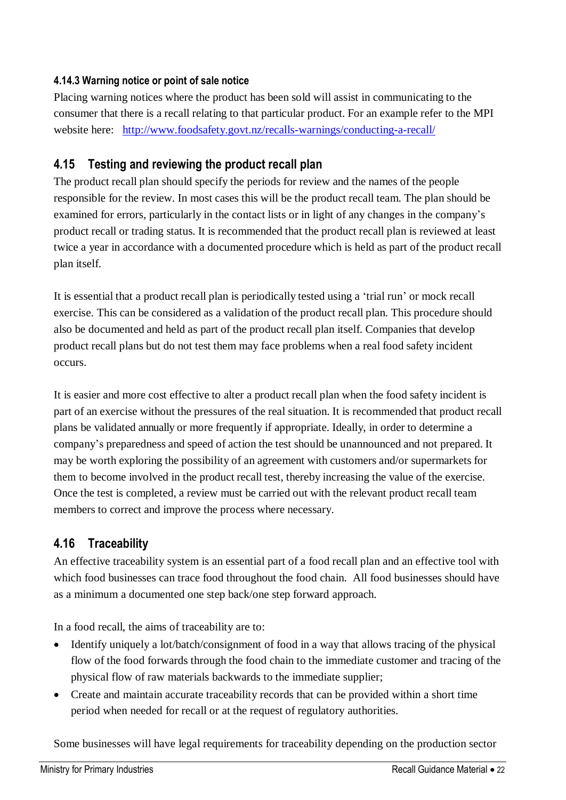#### **4.14.3 Warning notice or point of sale notice**

Placing warning notices where the product has been sold will assist in communicating to the consumer that there is a recall relating to that particular product. For an example refer to the MPI website here: <http://www.foodsafety.govt.nz/recalls-warnings/conducting-a-recall/>

#### <span id="page-21-0"></span>**4.15 Testing and reviewing the product recall plan**

The product recall plan should specify the periods for review and the names of the people responsible for the review. In most cases this will be the product recall team. The plan should be examined for errors, particularly in the contact lists or in light of any changes in the company's product recall or trading status. It is recommended that the product recall plan is reviewed at least twice a year in accordance with a documented procedure which is held as part of the product recall plan itself.

It is essential that a product recall plan is periodically tested using a 'trial run' or mock recall exercise. This can be considered as a validation of the product recall plan. This procedure should also be documented and held as part of the product recall plan itself. Companies that develop product recall plans but do not test them may face problems when a real food safety incident occurs.

It is easier and more cost effective to alter a product recall plan when the food safety incident is part of an exercise without the pressures of the real situation. It is recommended that product recall plans be validated annually or more frequently if appropriate. Ideally, in order to determine a company's preparedness and speed of action the test should be unannounced and not prepared. It may be worth exploring the possibility of an agreement with customers and/or supermarkets for them to become involved in the product recall test, thereby increasing the value of the exercise. Once the test is completed, a review must be carried out with the relevant product recall team members to correct and improve the process where necessary.

#### <span id="page-21-1"></span>**4.16 Traceability**

An effective traceability system is an essential part of a food recall plan and an effective tool with which food businesses can trace food throughout the food chain. All food businesses should have as a minimum a documented one step back/one step forward approach.

In a food recall, the aims of traceability are to:

- Identify uniquely a lot/batch/consignment of food in a way that allows tracing of the physical flow of the food forwards through the food chain to the immediate customer and tracing of the physical flow of raw materials backwards to the immediate supplier;
- Create and maintain accurate traceability records that can be provided within a short time period when needed for recall or at the request of regulatory authorities.

Some businesses will have legal requirements for traceability depending on the production sector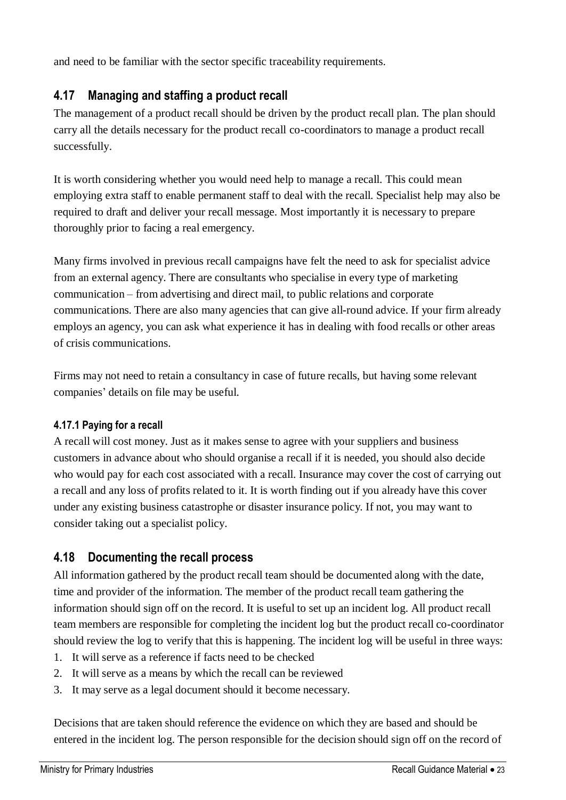and need to be familiar with the sector specific traceability requirements.

#### <span id="page-22-0"></span>**4.17 Managing and staffing a product recall**

The management of a product recall should be driven by the product recall plan. The plan should carry all the details necessary for the product recall co-coordinators to manage a product recall successfully.

It is worth considering whether you would need help to manage a recall. This could mean employing extra staff to enable permanent staff to deal with the recall. Specialist help may also be required to draft and deliver your recall message. Most importantly it is necessary to prepare thoroughly prior to facing a real emergency.

Many firms involved in previous recall campaigns have felt the need to ask for specialist advice from an external agency. There are consultants who specialise in every type of marketing communication – from advertising and direct mail, to public relations and corporate communications. There are also many agencies that can give all-round advice. If your firm already employs an agency, you can ask what experience it has in dealing with food recalls or other areas of crisis communications.

Firms may not need to retain a consultancy in case of future recalls, but having some relevant companies' details on file may be useful.

#### **4.17.1 Paying for a recall**

A recall will cost money. Just as it makes sense to agree with your suppliers and business customers in advance about who should organise a recall if it is needed, you should also decide who would pay for each cost associated with a recall. Insurance may cover the cost of carrying out a recall and any loss of profits related to it. It is worth finding out if you already have this cover under any existing business catastrophe or disaster insurance policy. If not, you may want to consider taking out a specialist policy.

#### <span id="page-22-1"></span>**4.18 Documenting the recall process**

All information gathered by the product recall team should be documented along with the date, time and provider of the information. The member of the product recall team gathering the information should sign off on the record. It is useful to set up an incident log. All product recall team members are responsible for completing the incident log but the product recall co-coordinator should review the log to verify that this is happening. The incident log will be useful in three ways:

- 1. It will serve as a reference if facts need to be checked
- 2. It will serve as a means by which the recall can be reviewed
- 3. It may serve as a legal document should it become necessary.

Decisions that are taken should reference the evidence on which they are based and should be entered in the incident log. The person responsible for the decision should sign off on the record of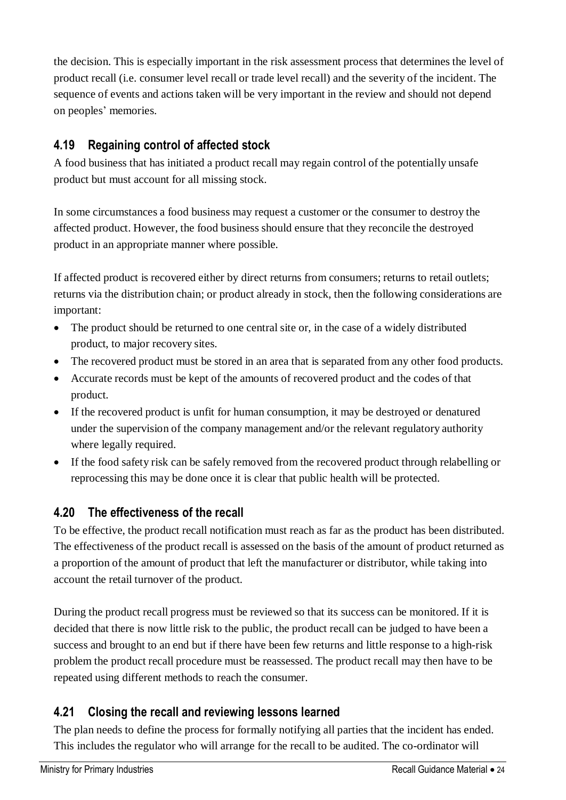the decision. This is especially important in the risk assessment process that determines the level of product recall (i.e. consumer level recall or trade level recall) and the severity of the incident. The sequence of events and actions taken will be very important in the review and should not depend on peoples' memories.

### <span id="page-23-0"></span>**4.19 Regaining control of affected stock**

A food business that has initiated a product recall may regain control of the potentially unsafe product but must account for all missing stock.

In some circumstances a food business may request a customer or the consumer to destroy the affected product. However, the food business should ensure that they reconcile the destroyed product in an appropriate manner where possible.

If affected product is recovered either by direct returns from consumers; returns to retail outlets; returns via the distribution chain; or product already in stock, then the following considerations are important:

- The product should be returned to one central site or, in the case of a widely distributed product, to major recovery sites.
- The recovered product must be stored in an area that is separated from any other food products.
- Accurate records must be kept of the amounts of recovered product and the codes of that product.
- If the recovered product is unfit for human consumption, it may be destroyed or denatured under the supervision of the company management and/or the relevant regulatory authority where legally required.
- If the food safety risk can be safely removed from the recovered product through relabelling or reprocessing this may be done once it is clear that public health will be protected.

#### <span id="page-23-1"></span>**4.20 The effectiveness of the recall**

To be effective, the product recall notification must reach as far as the product has been distributed. The effectiveness of the product recall is assessed on the basis of the amount of product returned as a proportion of the amount of product that left the manufacturer or distributor, while taking into account the retail turnover of the product.

During the product recall progress must be reviewed so that its success can be monitored. If it is decided that there is now little risk to the public, the product recall can be judged to have been a success and brought to an end but if there have been few returns and little response to a high-risk problem the product recall procedure must be reassessed. The product recall may then have to be repeated using different methods to reach the consumer.

#### <span id="page-23-2"></span>**4.21 Closing the recall and reviewing lessons learned**

The plan needs to define the process for formally notifying all parties that the incident has ended. This includes the regulator who will arrange for the recall to be audited. The co-ordinator will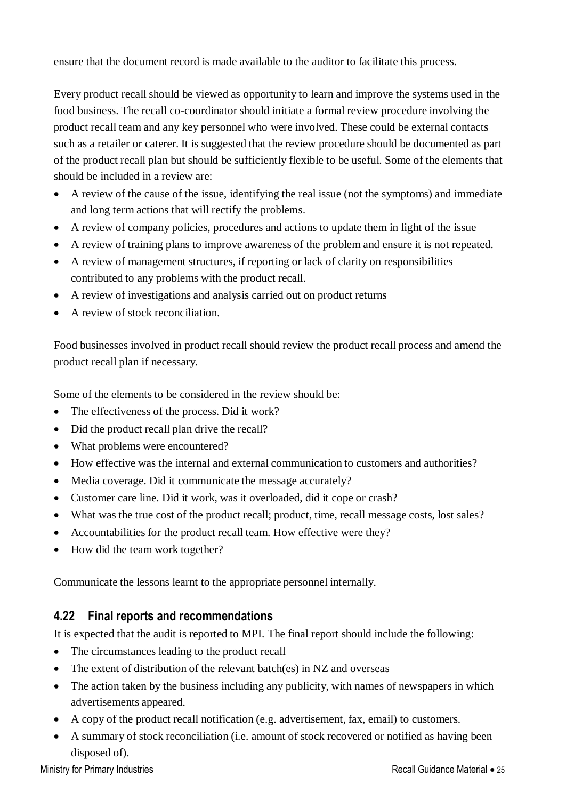ensure that the document record is made available to the auditor to facilitate this process.

Every product recall should be viewed as opportunity to learn and improve the systems used in the food business. The recall co-coordinator should initiate a formal review procedure involving the product recall team and any key personnel who were involved. These could be external contacts such as a retailer or caterer. It is suggested that the review procedure should be documented as part of the product recall plan but should be sufficiently flexible to be useful. Some of the elements that should be included in a review are:

- A review of the cause of the issue, identifying the real issue (not the symptoms) and immediate and long term actions that will rectify the problems.
- A review of company policies, procedures and actions to update them in light of the issue
- A review of training plans to improve awareness of the problem and ensure it is not repeated.
- A review of management structures, if reporting or lack of clarity on responsibilities contributed to any problems with the product recall.
- A review of investigations and analysis carried out on product returns
- A review of stock reconciliation.

Food businesses involved in product recall should review the product recall process and amend the product recall plan if necessary.

Some of the elements to be considered in the review should be:

- The effectiveness of the process. Did it work?
- Did the product recall plan drive the recall?
- What problems were encountered?
- How effective was the internal and external communication to customers and authorities?
- Media coverage. Did it communicate the message accurately?
- Customer care line. Did it work, was it overloaded, did it cope or crash?
- What was the true cost of the product recall; product, time, recall message costs, lost sales?
- Accountabilities for the product recall team. How effective were they?
- How did the team work together?

Communicate the lessons learnt to the appropriate personnel internally.

#### <span id="page-24-0"></span>**4.22 Final reports and recommendations**

It is expected that the audit is reported to MPI. The final report should include the following:

- The circumstances leading to the product recall
- The extent of distribution of the relevant batch(es) in NZ and overseas
- The action taken by the business including any publicity, with names of newspapers in which advertisements appeared.
- A copy of the product recall notification (e.g. advertisement, fax, email) to customers.
- A summary of stock reconciliation (i.e. amount of stock recovered or notified as having been disposed of).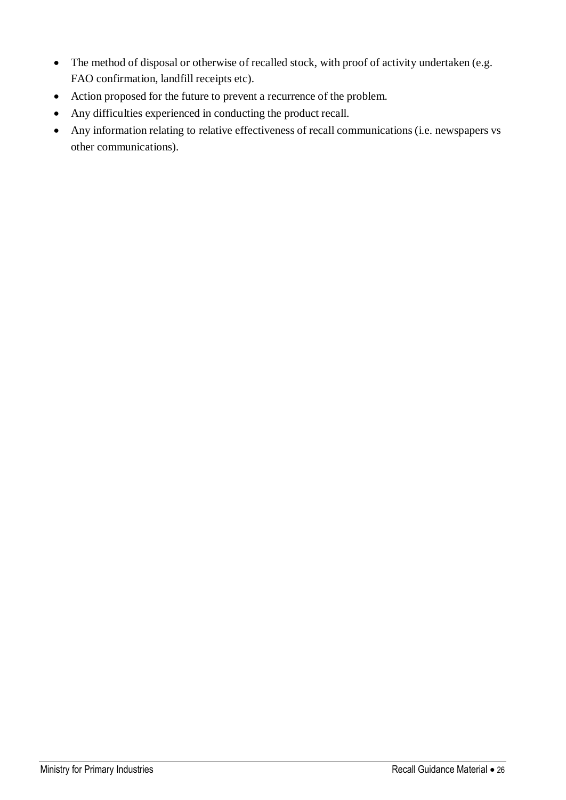- The method of disposal or otherwise of recalled stock, with proof of activity undertaken (e.g. FAO confirmation, landfill receipts etc).
- Action proposed for the future to prevent a recurrence of the problem.
- Any difficulties experienced in conducting the product recall.
- Any information relating to relative effectiveness of recall communications(i.e. newspapers vs other communications).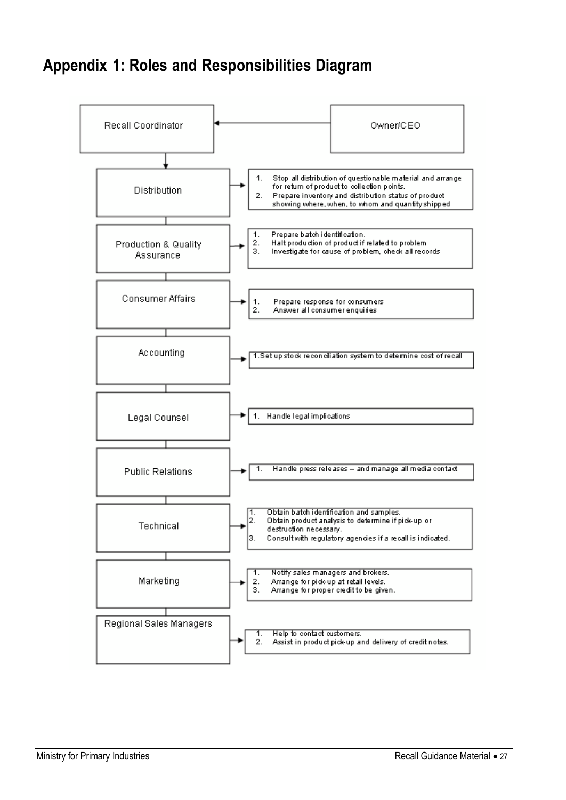# <span id="page-26-0"></span>**Appendix 1: Roles and Responsibilities Diagram**

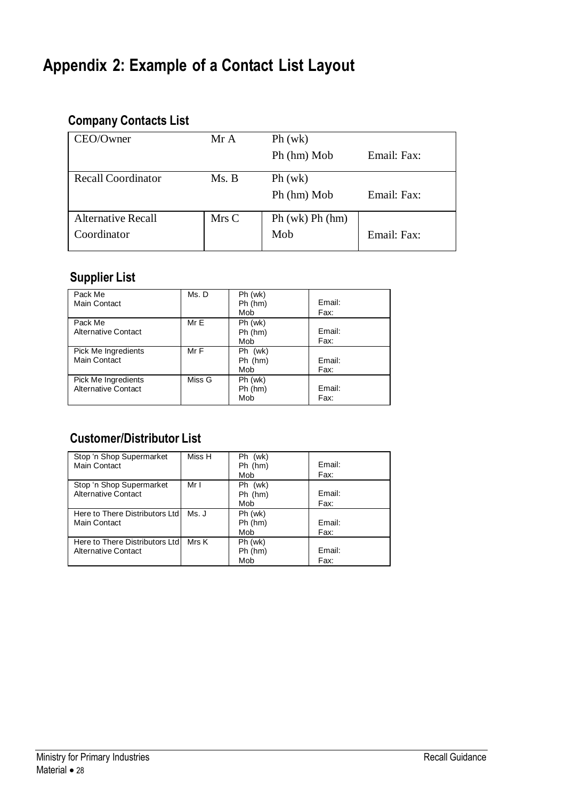# <span id="page-27-0"></span>**Appendix 2: Example of a Contact List Layout**

# **Company Contacts List**

| CEO/Owner                 | Mr A  | Ph (wk)         |             |
|---------------------------|-------|-----------------|-------------|
|                           |       | Ph (hm) Mob     | Email: Fax: |
| <b>Recall Coordinator</b> | Ms. B | Ph (wk)         |             |
|                           |       | Ph (hm) Mob     | Email: Fax: |
| <b>Alternative Recall</b> | Mrs C | Ph (wk) Ph (hm) |             |
| Coordinator               |       | Mob             | Email: Fax: |

# **Supplier List**

| Pack Me<br>Main Contact    | Ms.D   | Ph (wk)<br>Ph(hm) | Email: |
|----------------------------|--------|-------------------|--------|
|                            |        | Mob               | Fax:   |
| Pack Me                    | MrE    | Ph (wk)           |        |
| Alternative Contact        |        | Ph(hm)            | Email: |
|                            |        | Mob               | Fax:   |
| Pick Me Ingredients        | Mr F   | Ph (wk)           |        |
| Main Contact               |        | $Ph$ ( $hm$ )     | Email: |
|                            |        | Mob               | Fax:   |
| Pick Me Ingredients        | Miss G | Ph (wk)           |        |
| <b>Alternative Contact</b> |        | Ph (hm)           | Email: |
|                            |        | Mob               | Fax:   |

# **Customer/Distributor List**

| Stop 'n Shop Supermarket        | Miss H | Ph (wk) |        |
|---------------------------------|--------|---------|--------|
| Main Contact                    |        | Ph (hm) | Fmail: |
|                                 |        | Mob     | Fax:   |
| Stop 'n Shop Supermarket        | Mr I   | Ph (wk) |        |
| <b>Alternative Contact</b>      |        | Ph (hm) | Fmail: |
|                                 |        | Mob     | Fax:   |
| Here to There Distributors Ltd  | Ms. J  | Ph (wk) |        |
| Main Contact                    |        | Ph (hm) | Email: |
|                                 |        | Mob     | Fax:   |
| Here to There Distributors Ltdl | Mrs K  | Ph (wk) |        |
| Alternative Contact             |        | Ph (hm) | Email: |
|                                 |        | Mob     | Fax:   |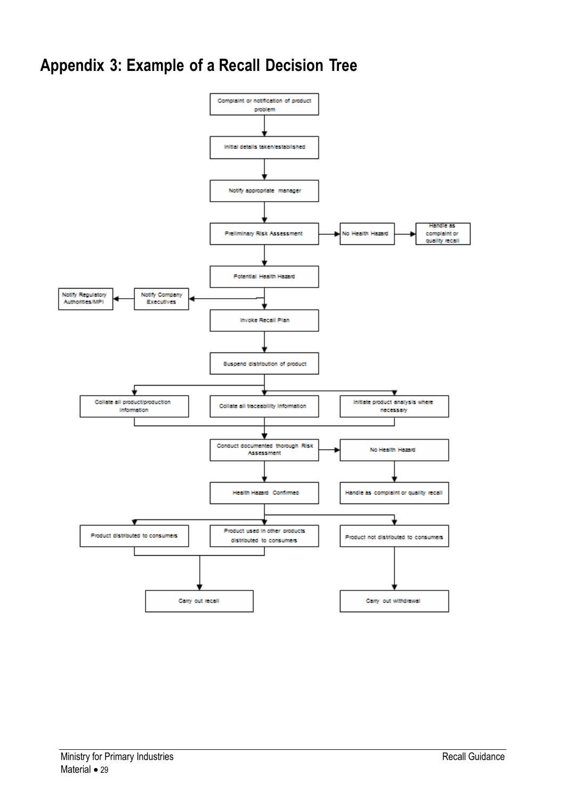# <span id="page-28-0"></span>**Appendix 3: Example of a Recall Decision Tree**

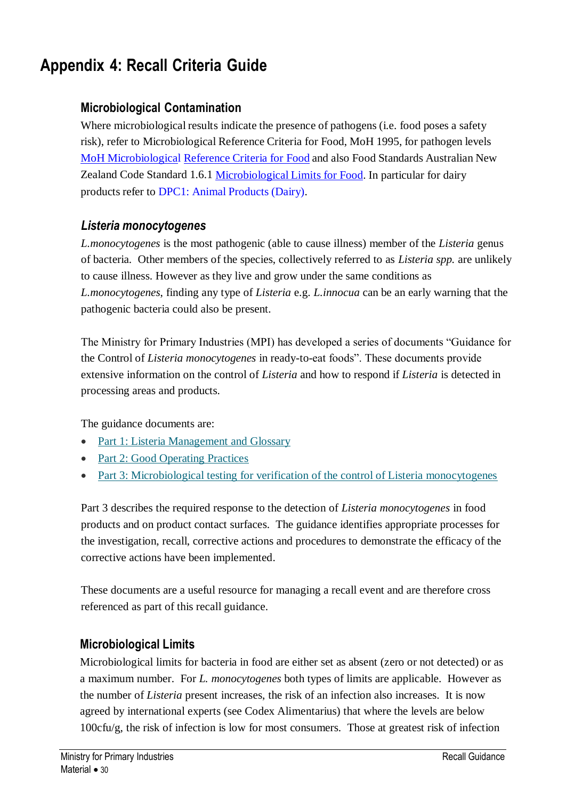# <span id="page-29-0"></span>**Appendix 4: Recall Criteria Guide**

#### **Microbiological Contamination**

Where microbiological results indicate the presence of pathogens (i.e. food poses a safety risk), refer to Microbiological Reference Criteria for Food, MoH 1995, for pathogen levels MoH [Microbiological](http://www.nzfsa.govt.nz/processed-food-retail-sale/fact-sheets/nz-micro-ref.pdf) [Reference](http://www.nzfsa.govt.nz/processed-food-retail-sale/fact-sheets/nz-micro-ref.pdf) Criteria for Food and also Food Standards Australian New Zealand Code Standard 1.6.1 [Microbiological](http://www.foodstandards.gov.au/_srcfiles/fsc_1_6_1_Micro_v78.doc) Limits for Food. In particular for dairy products refer to DPC1: Animal [Products](http://www.nzfsa.govt.nz/dairy/publications/approved-criteria/dpc1-approvedcriteriaforgeneraldairyprocessing.pdf) (Dairy).

#### *Listeria monocytogenes*

*L.monocytogenes* is the most pathogenic (able to cause illness) member of the *Listeria* genus of bacteria. Other members of the species, collectively referred to as *Listeria spp.* are unlikely to cause illness. However as they live and grow under the same conditions as *L.monocytogenes*, finding any type of *Listeria* e.g. *L.innocua* can be an early warning that the pathogenic bacteria could also be present.

The Ministry for Primary Industries (MPI) has developed a series of documents "Guidance for the Control of *Listeria monocytogenes* in ready-to-eat foods". These documents provide extensive information on the control of *Listeria* and how to respond if *Listeria* is detected in processing areas and products.

The guidance documents are:

- [Part 1: Listeria Management and Glossary](http://www.foodsafety.govt.nz/elibrary/industry/listeria-management-and-glossary.pdf)
- [Part 2: Good Operating Practices](http://www.foodsafety.govt.nz/elibrary/industry/good-operating-practices.pdf)
- [Part 3: Microbiological testing for verification of the control of Listeria monocytogenes](http://www.foodsafety.govt.nz/elibrary/industry/microbiological-testing.pdf)

Part 3 describes the required response to the detection of *Listeria monocytogenes* in food products and on product contact surfaces. The guidance identifies appropriate processes for the investigation, recall, corrective actions and procedures to demonstrate the efficacy of the corrective actions have been implemented.

These documents are a useful resource for managing a recall event and are therefore cross referenced as part of this recall guidance.

#### **Microbiological Limits**

Microbiological limits for bacteria in food are either set as absent (zero or not detected) or as a maximum number. For *L. monocytogenes* both types of limits are applicable. However as the number of *Listeria* present increases, the risk of an infection also increases. It is now agreed by international experts (see Codex Alimentarius) that where the levels are below 100cfu/g, the risk of infection is low for most consumers. Those at greatest risk of infection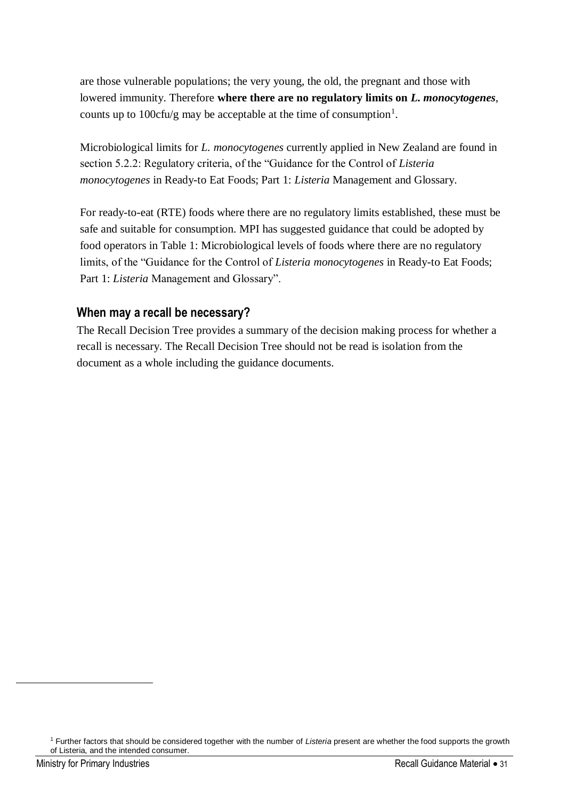are those vulnerable populations; the very young, the old, the pregnant and those with lowered immunity. Therefore **where there are no regulatory limits on** *L. monocytogenes*, counts up to 100cfu/g may be acceptable at the time of consumption<sup>1</sup>.

Microbiological limits for *L. monocytogenes* currently applied in New Zealand are found in section 5.2.2: Regulatory criteria, of the "Guidance for the Control of *Listeria monocytogenes* in Ready-to Eat Foods; Part 1: *Listeria* Management and Glossary.

For ready-to-eat (RTE) foods where there are no regulatory limits established, these must be safe and suitable for consumption. MPI has suggested guidance that could be adopted by food operators in Table 1: Microbiological levels of foods where there are no regulatory limits, of the "Guidance for the Control of *Listeria monocytogenes* in Ready-to Eat Foods; Part 1: *Listeria* Management and Glossary".

#### **When may a recall be necessary?**

The Recall Decision Tree provides a summary of the decision making process for whether a recall is necessary. The Recall Decision Tree should not be read is isolation from the document as a whole including the guidance documents.

 $\overline{a}$ 

<sup>1</sup> Further factors that should be considered together with the number of *Listeria* present are whether the food supports the growth of Listeria, and the intended consumer.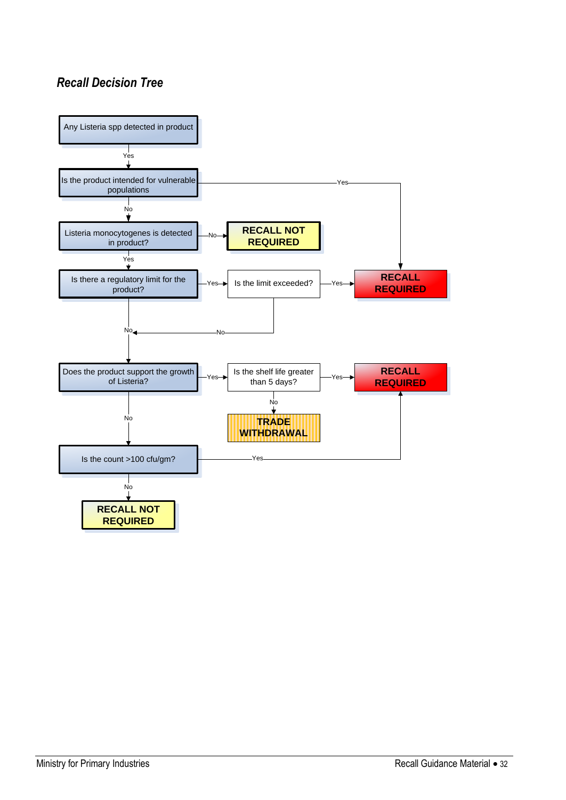### *Recall Decision Tree*

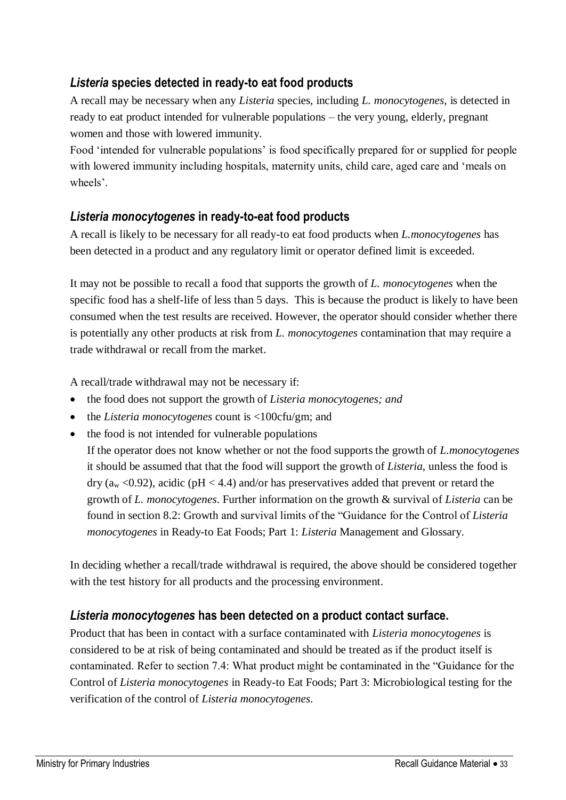#### *Listeria* **species detected in ready-to eat food products**

A recall may be necessary when any *Listeria* species, including *L. monocytogenes*, is detected in ready to eat product intended for vulnerable populations – the very young, elderly, pregnant women and those with lowered immunity.

Food 'intended for vulnerable populations' is food specifically prepared for or supplied for people with lowered immunity including hospitals, maternity units, child care, aged care and 'meals on wheels'.

#### *Listeria monocytogenes* **in ready-to-eat food products**

A recall is likely to be necessary for all ready-to eat food products when *L.monocytogenes* has been detected in a product and any regulatory limit or operator defined limit is exceeded.

It may not be possible to recall a food that supports the growth of *L. monocytogenes* when the specific food has a shelf-life of less than 5 days. This is because the product is likely to have been consumed when the test results are received. However, the operator should consider whether there is potentially any other products at risk from *L. monocytogenes* contamination that may require a trade withdrawal or recall from the market.

A recall/trade withdrawal may not be necessary if:

- the food does not support the growth of *Listeria monocytogenes; and*
- the *Listeria monocytogenes* count is <100cfu/gm; and
- the food is not intended for vulnerable populations

If the operator does not know whether or not the food supports the growth of *L.monocytogenes* it should be assumed that that the food will support the growth of *Listeria,* unless the food is  $\text{dry (a}_{\text{w}} < 0.92)$ , acidic (pH < 4.4) and/or has preservatives added that prevent or retard the growth of *L. monocytogenes*. Further information on the growth & survival of *Listeria* can be found in section 8.2: Growth and survival limits of the "Guidance for the Control of *Listeria monocytogenes* in Ready-to Eat Foods; Part 1: *Listeria* Management and Glossary.

In deciding whether a recall/trade withdrawal is required, the above should be considered together with the test history for all products and the processing environment.

#### *Listeria monocytogenes* **has been detected on a product contact surface.**

Product that has been in contact with a surface contaminated with *Listeria monocytogenes* is considered to be at risk of being contaminated and should be treated as if the product itself is contaminated. Refer to section 7.4: What product might be contaminated in the "Guidance for the Control of *Listeria monocytogenes* in Ready-to Eat Foods; Part 3: Microbiological testing for the verification of the control of *Listeria monocytogenes*.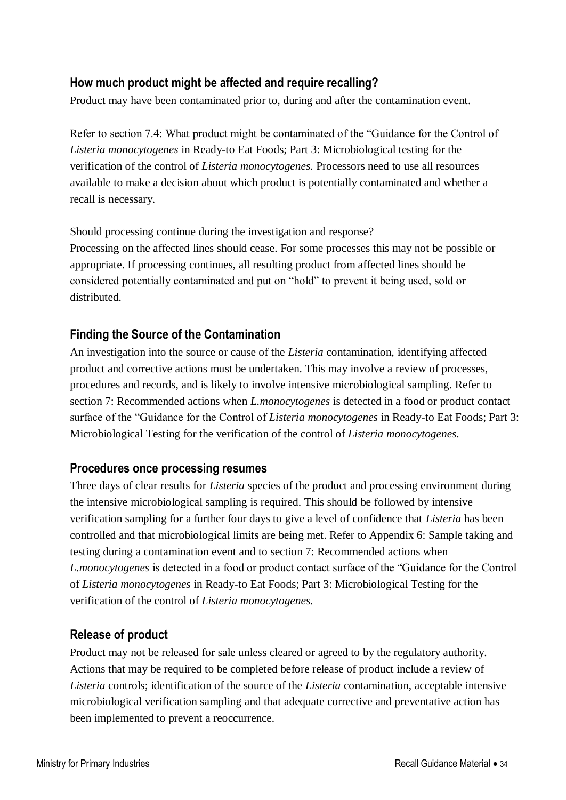#### **How much product might be affected and require recalling?**

Product may have been contaminated prior to, during and after the contamination event.

Refer to section 7.4: What product might be contaminated of the "Guidance for the Control of *Listeria monocytogenes* in Ready-to Eat Foods; Part 3: Microbiological testing for the verification of the control of *Listeria monocytogenes*. Processors need to use all resources available to make a decision about which product is potentially contaminated and whether a recall is necessary.

Should processing continue during the investigation and response? Processing on the affected lines should cease. For some processes this may not be possible or appropriate. If processing continues, all resulting product from affected lines should be considered potentially contaminated and put on "hold" to prevent it being used, sold or distributed.

#### **Finding the Source of the Contamination**

An investigation into the source or cause of the *Listeria* contamination, identifying affected product and corrective actions must be undertaken. This may involve a review of processes, procedures and records, and is likely to involve intensive microbiological sampling. Refer to section 7: Recommended actions when *L.monocytogenes* is detected in a food or product contact surface of the "Guidance for the Control of *Listeria monocytogenes* in Ready-to Eat Foods; Part 3: Microbiological Testing for the verification of the control of *Listeria monocytogenes*.

#### **Procedures once processing resumes**

Three days of clear results for *Listeria* species of the product and processing environment during the intensive microbiological sampling is required. This should be followed by intensive verification sampling for a further four days to give a level of confidence that *Listeria* has been controlled and that microbiological limits are being met. Refer to Appendix 6: Sample taking and testing during a contamination event and to section 7: Recommended actions when *L.monocytogenes* is detected in a food or product contact surface of the "Guidance for the Control of *Listeria monocytogenes* in Ready-to Eat Foods; Part 3: Microbiological Testing for the verification of the control of *Listeria monocytogenes*.

#### **Release of product**

Product may not be released for sale unless cleared or agreed to by the regulatory authority. Actions that may be required to be completed before release of product include a review of *Listeria* controls; identification of the source of the *Listeria* contamination, acceptable intensive microbiological verification sampling and that adequate corrective and preventative action has been implemented to prevent a reoccurrence.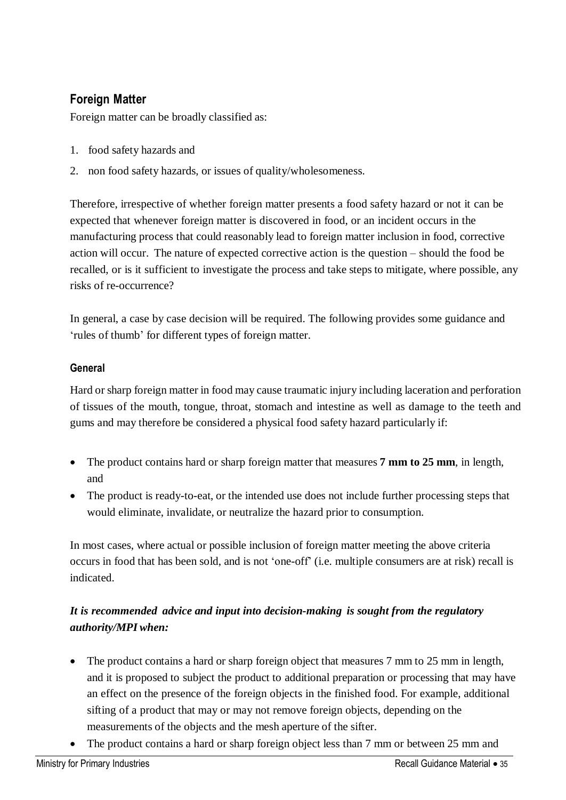# **Foreign Matter**

Foreign matter can be broadly classified as:

- 1. food safety hazards and
- 2. non food safety hazards, or issues of quality/wholesomeness.

Therefore, irrespective of whether foreign matter presents a food safety hazard or not it can be expected that whenever foreign matter is discovered in food, or an incident occurs in the manufacturing process that could reasonably lead to foreign matter inclusion in food, corrective action will occur. The nature of expected corrective action is the question – should the food be recalled, or is it sufficient to investigate the process and take steps to mitigate, where possible, any risks of re-occurrence?

In general, a case by case decision will be required. The following provides some guidance and 'rules of thumb' for different types of foreign matter.

#### **General**

Hard or sharp foreign matter in food may cause traumatic injury including laceration and perforation of tissues of the mouth, tongue, throat, stomach and intestine as well as damage to the teeth and gums and may therefore be considered a physical food safety hazard particularly if:

- The product contains hard or sharp foreign matter that measures **7 mm to 25 mm**, in length, and
- The product is ready-to-eat, or the intended use does not include further processing steps that would eliminate, invalidate, or neutralize the hazard prior to consumption.

In most cases, where actual or possible inclusion of foreign matter meeting the above criteria occurs in food that has been sold, and is not 'one-off' (i.e. multiple consumers are at risk) recall is indicated.

#### *It is recommended advice and input into decision-making is sought from the regulatory authority/MPI when:*

- The product contains a hard or sharp foreign object that measures 7 mm to 25 mm in length, and it is proposed to subject the product to additional preparation or processing that may have an effect on the presence of the foreign objects in the finished food. For example, additional sifting of a product that may or may not remove foreign objects, depending on the measurements of the objects and the mesh aperture of the sifter.
- The product contains a hard or sharp foreign object less than 7 mm or between 25 mm and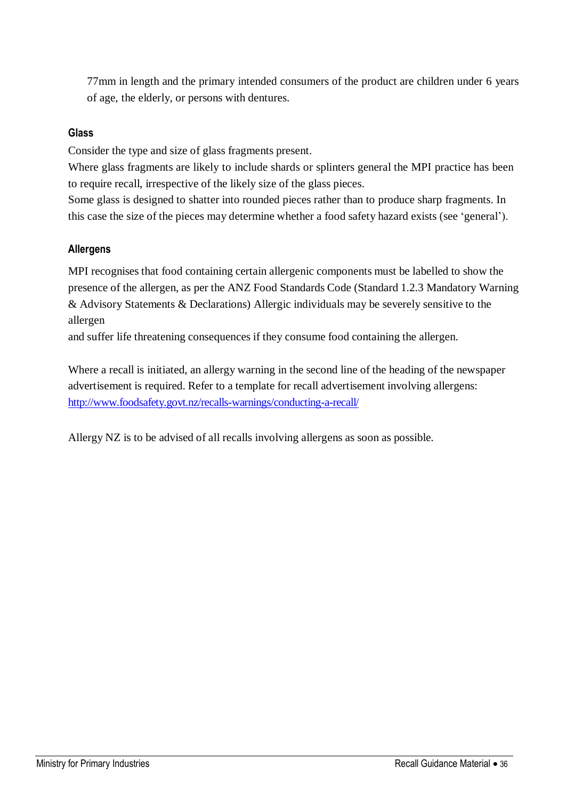77mm in length and the primary intended consumers of the product are children under 6 years of age, the elderly, or persons with dentures.

#### **Glass**

Consider the type and size of glass fragments present.

Where glass fragments are likely to include shards or splinters general the MPI practice has been to require recall, irrespective of the likely size of the glass pieces.

Some glass is designed to shatter into rounded pieces rather than to produce sharp fragments. In this case the size of the pieces may determine whether a food safety hazard exists (see 'general').

#### **Allergens**

MPI recognises that food containing certain allergenic components must be labelled to show the presence of the allergen, as per the ANZ Food Standards Code (Standard 1.2.3 Mandatory Warning & Advisory Statements & Declarations) Allergic individuals may be severely sensitive to the allergen

and suffer life threatening consequences if they consume food containing the allergen.

Where a recall is initiated, an allergy warning in the second line of the heading of the newspaper advertisement is required. Refer to a template for recall advertisement involving allergens: <http://www.foodsafety.govt.nz/recalls-warnings/conducting-a-recall/>

Allergy NZ is to be advised of all recalls involving allergens as soon as possible.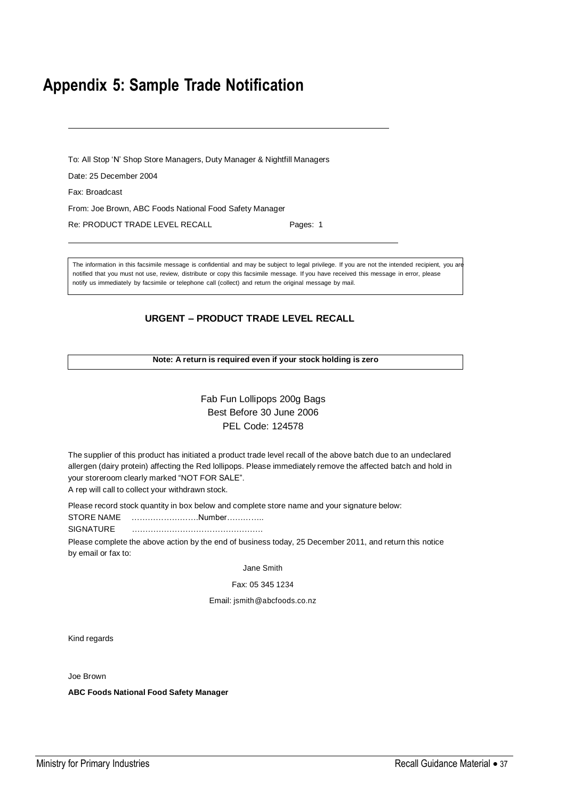# <span id="page-36-0"></span>**Appendix 5: Sample Trade Notification**

To: All Stop 'N' Shop Store Managers, Duty Manager & Nightfill Managers

Date: 25 December 2004

Fax: Broadcast

From: Joe Brown, ABC Foods National Food Safety Manager

Re: PRODUCT TRADE LEVEL RECALL Pages: 1

The information in this facsimile message is confidential and may be subject to legal privilege. If you are not the intended recipient, you are notified that you must not use, review, distribute or copy this facsimile message. If you have received this message in error, please notify us immediately by facsimile or telephone call (collect) and return the original message by mail.

#### **URGENT – PRODUCT TRADE LEVEL RECALL**

#### **Note: A return is required even if your stock holding is zero**

#### Fab Fun Lollipops 200g Bags Best Before 30 June 2006 PEL Code: 124578

The supplier of this product has initiated a product trade level recall of the above batch due to an undeclared allergen (dairy protein) affecting the Red lollipops. Please immediately remove the affected batch and hold in your storeroom clearly marked "NOT FOR SALE".

A rep will call to collect your withdrawn stock.

Please record stock quantity in box below and complete store name and your signature below:

STORE NAME …………………….Number…………..

SIGNATURE ………………………………………….

Please complete the above action by the end of business today, 25 December 2011, and return this notice by email or fax to:

Jane Smith

Fax: 05 345 1234

Email: [jsmith@abcfoods.co.nz](mailto:jsmith@abcfoods.co.nz)

Kind regards

Joe Brown

**ABC Foods National Food Safety Manager**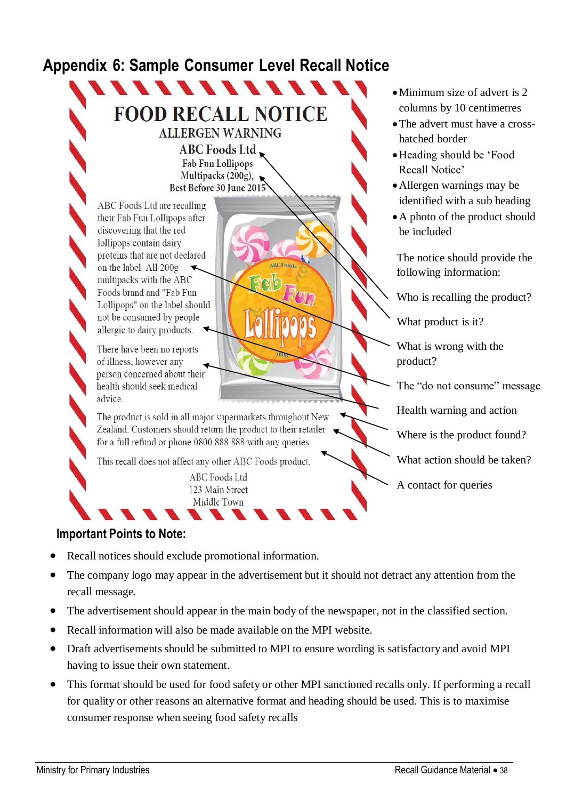# <span id="page-37-0"></span>**Appendix 6: Sample Consumer Level Recall Notice**

# **FOOD RECALL NOTICE ALLERGEN WARNING**

**ABC Foods Ltd Fab Fun Lollipops** Multipacks (200g),<br>Best Before 30 June 2015

ABC Foods Ltd are recalling their Fab Fun Lollipops after discovering that the red lollipops contain dairy proteins that are not declared on the label. All 200g multipacks with the ABC Foods brand and "Fab Fun Lollipops" on the label should not be consumed by people allergic to dairy products.

There have been no reports of illness, however any person concerned about their health should seek medical advice.

The product is sold in all major supermarkets throughout New Zealand. Customers should return the product to their retailer for a full refund or phone 0800 888 888 with any queries.

This recall does not affect any other ABC Foods product.

**ABC** Foods Ltd 123 Main Street Middle Town

#### **Important Points to Note:**

- Recall notices should exclude promotional information.
- The company logo may appear in the advertisement but it should not detract any attention from the recall message.

**ARC** Food

- The advertisement should appear in the main body of the newspaper, not in the classified section.
- Recall information will also be made available on the MPI website.
- Draft advertisements should be submitted to MPI to ensure wording is satisfactory and avoid MPI having to issue their own statement.
- This format should be used for food safety or other MPI sanctioned recalls only. If performing a recall for quality or other reasons an alternative format and heading should be used. This is to maximise consumer response when seeing food safety recalls
- Minimum size of advert is 2 columns by 10 centimetres
- The advert must have a crosshatched border
- Heading should be 'Food Recall Notice'
- Allergen warnings may be identified with a sub heading
- A photo of the product should be included

The notice should provide the following information:

Who is recalling the product?

What product is it?

What is wrong with the product?

The "do not consume" message

Health warning and action

Where is the product found?

What action should be taken?

A contact for queries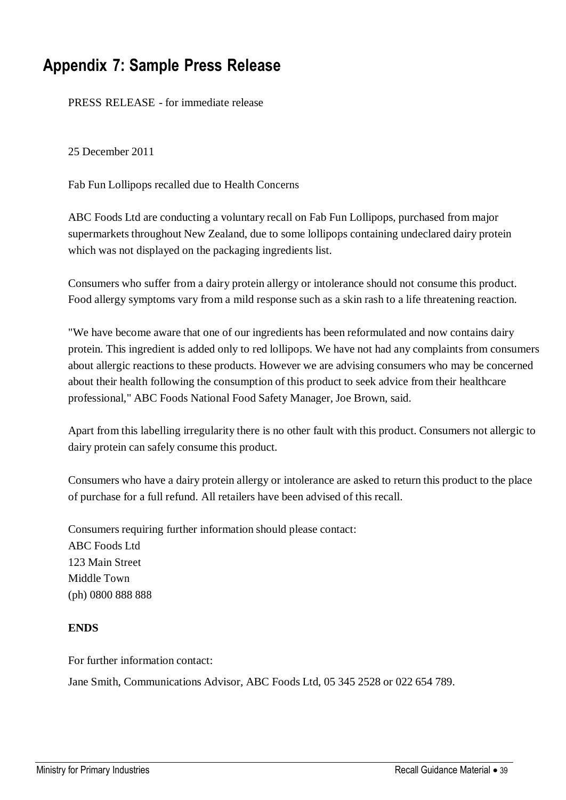# <span id="page-38-0"></span>**Appendix 7: Sample Press Release**

PRESS RELEASE - for immediate release

25 December 2011

Fab Fun Lollipops recalled due to Health Concerns

ABC Foods Ltd are conducting a voluntary recall on Fab Fun Lollipops, purchased from major supermarkets throughout New Zealand, due to some lollipops containing undeclared dairy protein which was not displayed on the packaging ingredients list.

Consumers who suffer from a dairy protein allergy or intolerance should not consume this product. Food allergy symptoms vary from a mild response such as a skin rash to a life threatening reaction.

"We have become aware that one of our ingredients has been reformulated and now contains dairy protein. This ingredient is added only to red lollipops. We have not had any complaints from consumers about allergic reactions to these products. However we are advising consumers who may be concerned about their health following the consumption of this product to seek advice from their healthcare professional," ABC Foods National Food Safety Manager, Joe Brown, said.

Apart from this labelling irregularity there is no other fault with this product. Consumers not allergic to dairy protein can safely consume this product.

Consumers who have a dairy protein allergy or intolerance are asked to return this product to the place of purchase for a full refund. All retailers have been advised of this recall.

Consumers requiring further information should please contact: ABC Foods Ltd 123 Main Street Middle Town (ph) 0800 888 888

#### **ENDS**

For further information contact: Jane Smith, Communications Advisor, ABC Foods Ltd, 05 345 2528 or 022 654 789.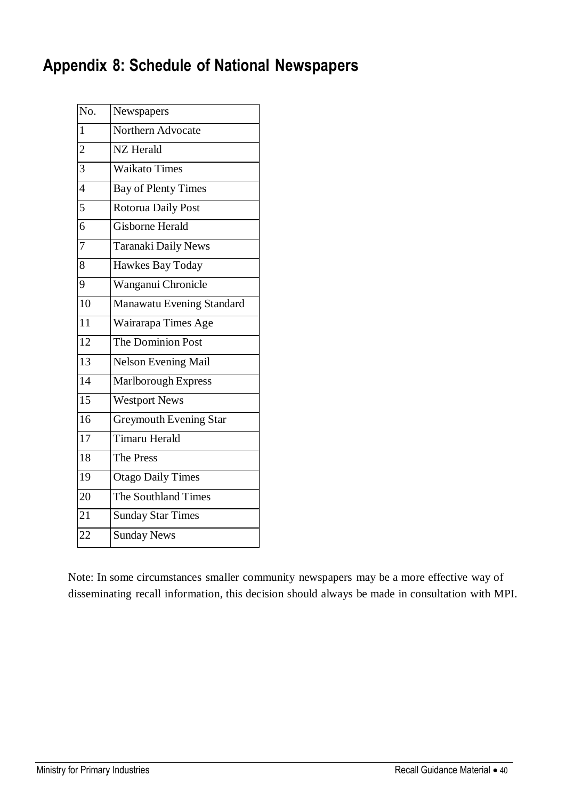# <span id="page-39-0"></span>**Appendix 8: Schedule of National Newspapers**

| No.             | Newspapers                    |
|-----------------|-------------------------------|
| $\mathbf{1}$    | Northern Advocate             |
| $\overline{2}$  | NZ Herald                     |
| $\overline{3}$  | <b>Waikato Times</b>          |
| $\overline{4}$  | <b>Bay of Plenty Times</b>    |
| 5               | Rotorua Daily Post            |
| 6               | <b>Gisborne Herald</b>        |
| $\overline{7}$  | Taranaki Daily News           |
| 8               | Hawkes Bay Today              |
| 9               | Wanganui Chronicle            |
| $\overline{10}$ | Manawatu Evening Standard     |
| 11              | Wairarapa Times Age           |
| $\overline{12}$ | The Dominion Post             |
| $\overline{13}$ | <b>Nelson Evening Mail</b>    |
| $\overline{14}$ | Marlborough Express           |
| $\overline{15}$ | <b>Westport News</b>          |
| 16              | <b>Greymouth Evening Star</b> |
| $\overline{17}$ | <b>Timaru Herald</b>          |
| 18              | The Press                     |
| 19              | <b>Otago Daily Times</b>      |
| 20              | The Southland Times           |
| 21              | <b>Sunday Star Times</b>      |
| 22              | <b>Sunday News</b>            |
|                 |                               |

Note: In some circumstances smaller community newspapers may be a more effective way of disseminating recall information, this decision should always be made in consultation with MPI.